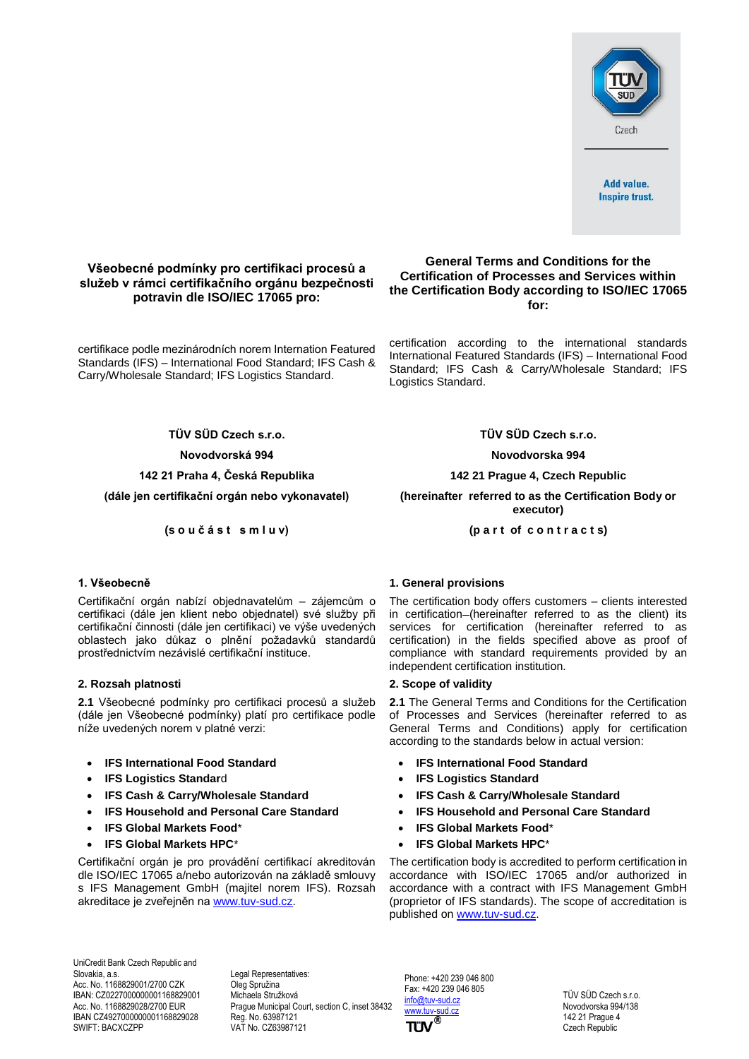

# **Všeobecné podmínky pro certifikaci procesů a služeb v rámci certifikačního orgánu bezpečnosti potravin dle ISO/IEC 17065 pro:**

certifikace podle mezinárodních norem Internation Featured Standards (IFS) – International Food Standard; IFS Cash & Carry/Wholesale Standard; IFS Logistics Standard.

**TÜV SÜD Czech s.r.o. TÜV SÜD Czech s.r.o.**

**Novodvorská 994 Novodvorska 994**

**142 21 Praha 4, Česká Republika 142 21 Prague 4, Czech Republic**

# **General Terms and Conditions for the Certification of Processes and Services within the Certification Body according to ISO/IEC 17065 for:**

certification according to the international standards International Featured Standards (IFS) – International Food Standard; IFS Cash & Carry/Wholesale Standard; IFS Logistics Standard.

**(dále jen certifikační orgán nebo vykonavatel) (hereinafter referred to as the Certification Body or executor)**

**(s o u č á s t s m l u v) (p a r t of c o n t r a c t s)**

Certifikační orgán nabízí objednavatelům – zájemcům o certifikaci (dále jen klient nebo objednatel) své služby při certifikační činnosti (dále jen certifikaci) ve výše uvedených oblastech jako důkaz o plnění požadavků standardů prostřednictvím nezávislé certifikační instituce.

### **2. Rozsah platnosti 2. Scope of validity**

**2.1** Všeobecné podmínky pro certifikaci procesů a služeb (dále jen Všeobecné podmínky) platí pro certifikace podle níže uvedených norem v platné verzi:

- **IFS International Food Standard**
- **IFS Logistics Standar**d
- **IFS Cash & Carry/Wholesale Standard**
- **IFS Household and Personal Care Standard**
- **IFS Global Markets Food**\*
- **IFS Global Markets HPC**\*

Certifikační orgán je pro provádění certifikací akreditován dle ISO/IEC 17065 a/nebo autorizován na základě smlouvy s IFS Management GmbH (majitel norem IFS). Rozsah akreditace je zveřejněn n[a www.tuv-sud.cz.](http://www.tuv-sud.cz/)

### **1. Všeobecně 1. General provisions**

The certification body offers customers – clients interested in certification–(hereinafter referred to as the client) its services for certification (hereinafter referred to as certification) in the fields specified above as proof of compliance with standard requirements provided by an independent certification institution.

**2.1** The General Terms and Conditions for the Certification of Processes and Services (hereinafter referred to as General Terms and Conditions) apply for certification according to the standards below in actual version:

- **IFS International Food Standard**
- **IFS Logistics Standard**
- **IFS Cash & Carry/Wholesale Standard**
- **IFS Household and Personal Care Standard**
- **IFS Global Markets Food**\*
- **IFS Global Markets HPC**\*

The certification body is accredited to perform certification in accordance with ISO/IEC 17065 and/or authorized in accordance with a contract with IFS Management GmbH (proprietor of IFS standards). The scope of accreditation is published on [www.tuv-sud.cz.](http://www.tuv-sud.cz/)

UniCredit Bank Czech Republic and Slovakia, a.s. Acc. No. 1168829001/2700 CZK IBAN: CZ0227000000001168829001 Acc. No. 1168829028/2700 EUR IBAN CZ4927000000001168829028 SWIFT: BACXCZPP

Legal Representatives: Oleg Spružina Michaela Stružková Prague Municipal Court, section C, inset 38432 Reg. No. 63987121 VAT No. CZ63987121

Phone: +420 239 046 800 Fax: +420 239 046 805 [info@tuv-sud.cz](mailto:info@tuv-sud.cz) [www.tuv-sud.cz](http://www.tuv-sud.cz/) TÜV

TÜV SÜD Czech s.r.o. Novodvorska 994/138 142 21 Prague 4 Czech Republic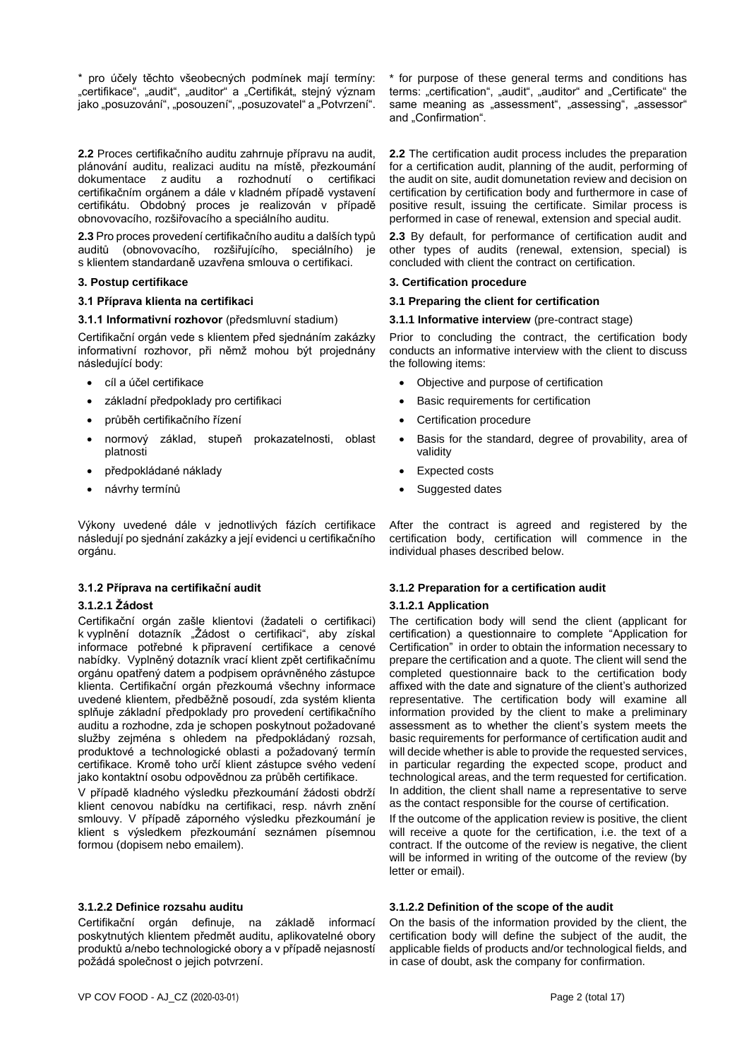\* pro účely těchto všeobecných podmínek mají termíny: "certifikace", "audit", "auditor" a "Certifikát, stejný význam jako "posuzování", "posouzení", "posuzovatel" a "Potvrzení".

**2.2** Proces certifikačního auditu zahrnuje přípravu na audit, plánování auditu, realizaci auditu na místě, přezkoumání dokumentace z auditu a rozhodnutí o certifikaci certifikačním orgánem a dále v kladném případě vystavení certifikátu. Obdobný proces je realizován v případě obnovovacího, rozšiřovacího a speciálního auditu.

**2.3** Pro proces provedení certifikačního auditu a dalších typů auditů (obnovovacího, rozšiřujícího, speciálního) je s klientem standardaně uzavřena smlouva o certifikaci.

### **3.1.1 Informativní rozhovor** (předsmluvní stadium) **3.1.1 Informative interview** (pre-contract stage)

Certifikační orgán vede s klientem před sjednáním zakázky informativní rozhovor, při němž mohou být projednány následující body:

- 
- 
- průběh certifikačního řízení Certification procedure
- normový základ, stupeň prokazatelnosti, oblast platnosti
- předpokládané náklady Expected costs
- 

Výkony uvedené dále v jednotlivých fázích certifikace následují po sjednání zakázky a její evidenci u certifikačního orgánu.

### **3.1.2.1 Žádost**

Certifikační orgán zašle klientovi (žadateli o certifikaci) k vyplnění dotazník "Zádost o certifikaci", aby získal informace potřebné k připravení certifikace a cenové nabídky. Vyplněný dotazník vrací klient zpět certifikačnímu orgánu opatřený datem a podpisem oprávněného zástupce klienta. Certifikační orgán přezkoumá všechny informace uvedené klientem, předběžně posoudí, zda systém klienta splňuje základní předpoklady pro provedení certifikačního auditu a rozhodne, zda je schopen poskytnout požadované služby zejména s ohledem na předpokládaný rozsah, produktové a technologické oblasti a požadovaný termín certifikace. Kromě toho určí klient zástupce svého vedení jako kontaktní osobu odpovědnou za průběh certifikace.

V případě kladného výsledku přezkoumání žádosti obdrží klient cenovou nabídku na certifikaci, resp. návrh znění smlouvy. V případě záporného výsledku přezkoumání je klient s výsledkem přezkoumání seznámen písemnou formou (dopisem nebo emailem).

# **3.1.2.2 Definice rozsahu auditu**

Certifikační orgán definuje, na základě informací poskytnutých klientem předmět auditu, aplikovatelné obory produktů a/nebo technologické obory a v případě nejasností požádá společnost o jejich potvrzení.

\* for purpose of these general terms and conditions has terms: "certification", "audit", "auditor" and "Certificate" the same meaning as "assessment", "assessing", "assessor" and .Confirmation".

**2.2** The certification audit process includes the preparation for a certification audit, planning of the audit, performing of the audit on site, audit domunetation review and decision on certification by certification body and furthermore in case of positive result, issuing the certificate. Similar process is performed in case of renewal, extension and special audit.

**2.3** By default, for performance of certification audit and other types of audits (renewal, extension, special) is concluded with client the contract on certification.

# **3. Postup certifikace 3. Certification procedure**

### **3.1 Příprava klienta na certifikaci 3.1 Preparing the client for certification**

Prior to concluding the contract, the certification body conducts an informative interview with the client to discuss the following items:

- cíl a účel certifikace  **Objective and purpose of certification** 
	- základní předpoklady pro certifikaci Basic requirements for certification
		-
		- Basis for the standard, degree of provability, area of validity
		-
	- návrhy termínů Suggested dates

After the contract is agreed and registered by the certification body, certification will commence in the individual phases described below.

# **3.1.2 Příprava na certifikační audit 3.1.2 Preparation for a certification audit**

### **3.1.2.1 Application**

The certification body will send the client (applicant for certification) a questionnaire to complete "Application for Certification" in order to obtain the information necessary to prepare the certification and a quote. The client will send the completed questionnaire back to the certification body affixed with the date and signature of the client's authorized representative. The certification body will examine all information provided by the client to make a preliminary assessment as to whether the client's system meets the basic requirements for performance of certification audit and will decide whether is able to provide the requested services, in particular regarding the expected scope, product and technological areas, and the term requested for certification. In addition, the client shall name a representative to serve as the contact responsible for the course of certification.

If the outcome of the application review is positive, the client will receive a quote for the certification, i.e. the text of a contract. If the outcome of the review is negative, the client will be informed in writing of the outcome of the review (by letter or email).

# **3.1.2.2 Definition of the scope of the audit**

On the basis of the information provided by the client, the certification body will define the subject of the audit, the applicable fields of products and/or technological fields, and in case of doubt, ask the company for confirmation.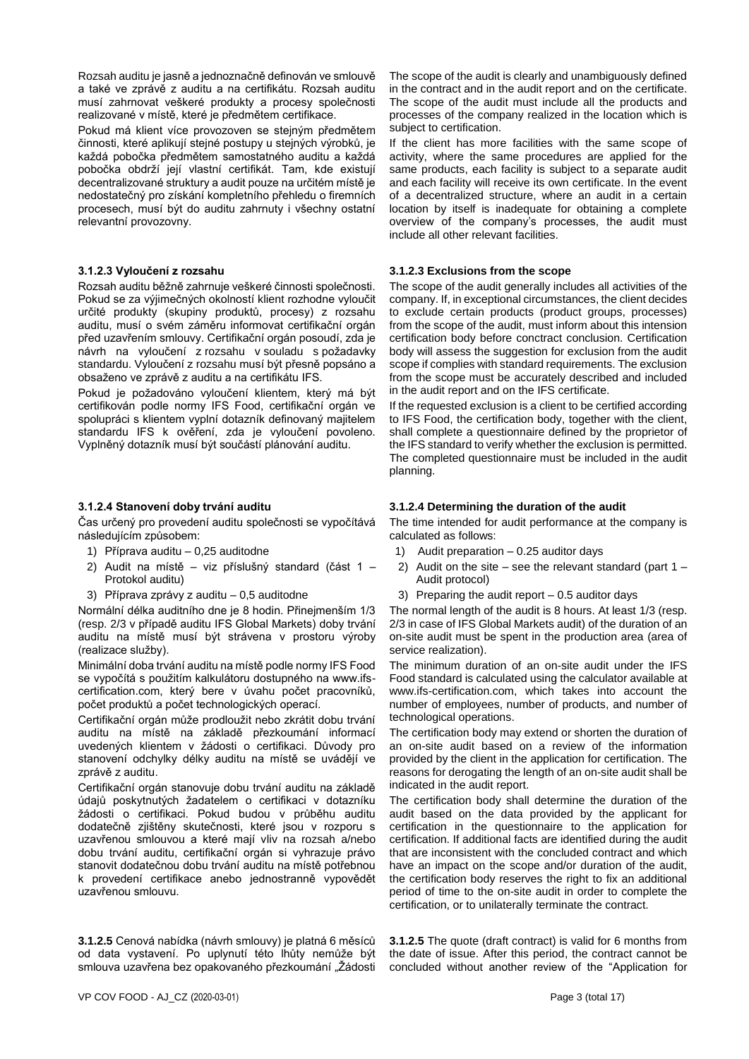Rozsah auditu je jasně a jednoznačně definován ve smlouvě a také ve zprávě z auditu a na certifikátu. Rozsah auditu musí zahrnovat veškeré produkty a procesy společnosti realizované v místě, které je předmětem certifikace.

Pokud má klient více provozoven se stejným předmětem činnosti, které aplikují stejné postupy u stejných výrobků, je každá pobočka předmětem samostatného auditu a každá pobočka obdrží její vlastní certifikát. Tam, kde existují decentralizované struktury a audit pouze na určitém místě je nedostatečný pro získání kompletního přehledu o firemních procesech, musí být do auditu zahrnuty i všechny ostatní relevantní provozovny.

# **3.1.2.3 Vyloučení z rozsahu**

Rozsah auditu běžně zahrnuje veškeré činnosti společnosti. Pokud se za výjimečných okolností klient rozhodne vyloučit určité produkty (skupiny produktů, procesy) z rozsahu auditu, musí o svém záměru informovat certifikační orgán před uzavřením smlouvy. Certifikační orgán posoudí, zda je návrh na vyloučení z rozsahu v souladu s požadavky standardu. Vyloučení z rozsahu musí být přesně popsáno a obsaženo ve zprávě z auditu a na certifikátu IFS.

Pokud je požadováno vyloučení klientem, který má být certifikován podle normy IFS Food, certifikační orgán ve spolupráci s klientem vyplní dotazník definovaný majitelem standardu IFS k ověření, zda je vyloučení povoleno. Vyplněný dotazník musí být součástí plánování auditu.

# **3.1.2.4 Stanovení doby trvání auditu**

Čas určený pro provedení auditu společnosti se vypočítává následujícím způsobem:

- 1) Příprava auditu 0,25 auditodne
- 2) Audit na místě viz příslušný standard (část 1 Protokol auditu)
- 3) Příprava zprávy z auditu 0,5 auditodne

Normální délka auditního dne je 8 hodin. Přinejmenším 1/3 (resp. 2/3 v případě auditu IFS Global Markets) doby trvání auditu na místě musí být strávena v prostoru výroby (realizace služby).

Minimální doba trvání auditu na místě podle normy IFS Food se vypočítá s použitím kalkulátoru dostupného na www.ifscertification.com, který bere v úvahu počet pracovníků, počet produktů a počet technologických operací.

Certifikační orgán může prodloužit nebo zkrátit dobu trvání auditu na místě na základě přezkoumání informací uvedených klientem v žádosti o certifikaci. Důvody pro stanovení odchylky délky auditu na místě se uvádějí ve zprávě z auditu.

Certifikační orgán stanovuje dobu trvání auditu na základě údajů poskytnutých žadatelem o certifikaci v dotazníku žádosti o certifikaci. Pokud budou v průběhu auditu dodatečně zjištěny skutečnosti, které jsou v rozporu s uzavřenou smlouvou a které mají vliv na rozsah a/nebo dobu trvání auditu, certifikační orgán si vyhrazuje právo stanovit dodatečnou dobu trvání auditu na místě potřebnou k provedení certifikace anebo jednostranně vypovědět uzavřenou smlouvu.

**3.1.2.5** Cenová nabídka (návrh smlouvy) je platná 6 měsíců od data vystavení. Po uplynutí této lhůty nemůže být smlouva uzavřena bez opakovaného přezkoumání "Žádosti

The scope of the audit is clearly and unambiguously defined in the contract and in the audit report and on the certificate. The scope of the audit must include all the products and processes of the company realized in the location which is subject to certification.

If the client has more facilities with the same scope of activity, where the same procedures are applied for the same products, each facility is subject to a separate audit and each facility will receive its own certificate. In the event of a decentralized structure, where an audit in a certain location by itself is inadequate for obtaining a complete overview of the company's processes, the audit must include all other relevant facilities.

# **3.1.2.3 Exclusions from the scope**

The scope of the audit generally includes all activities of the company. If, in exceptional circumstances, the client decides to exclude certain products (product groups, processes) from the scope of the audit, must inform about this intension certification body before conctract conclusion. Certification body will assess the suggestion for exclusion from the audit scope if complies with standard requirements. The exclusion from the scope must be accurately described and included in the audit report and on the IFS certificate.

If the requested exclusion is a client to be certified according to IFS Food, the certification body, together with the client, shall complete a questionnaire defined by the proprietor of the IFS standard to verify whether the exclusion is permitted. The completed questionnaire must be included in the audit planning.

# **3.1.2.4 Determining the duration of the audit**

The time intended for audit performance at the company is calculated as follows:

- 1) Audit preparation 0.25 auditor days
- 2) Audit on the site see the relevant standard (part  $1 -$ Audit protocol)
- 3) Preparing the audit report 0.5 auditor days

The normal length of the audit is 8 hours. At least 1/3 (resp. 2/3 in case of IFS Global Markets audit) of the duration of an on-site audit must be spent in the production area (area of service realization).

The minimum duration of an on-site audit under the IFS Food standard is calculated using the calculator available at www.ifs-certification.com, which takes into account the number of employees, number of products, and number of technological operations.

The certification body may extend or shorten the duration of an on-site audit based on a review of the information provided by the client in the application for certification. The reasons for derogating the length of an on-site audit shall be indicated in the audit report.

The certification body shall determine the duration of the audit based on the data provided by the applicant for certification in the questionnaire to the application for certification. If additional facts are identified during the audit that are inconsistent with the concluded contract and which have an impact on the scope and/or duration of the audit, the certification body reserves the right to fix an additional period of time to the on-site audit in order to complete the certification, or to unilaterally terminate the contract.

**3.1.2.5** The quote (draft contract) is valid for 6 months from the date of issue. After this period, the contract cannot be concluded without another review of the "Application for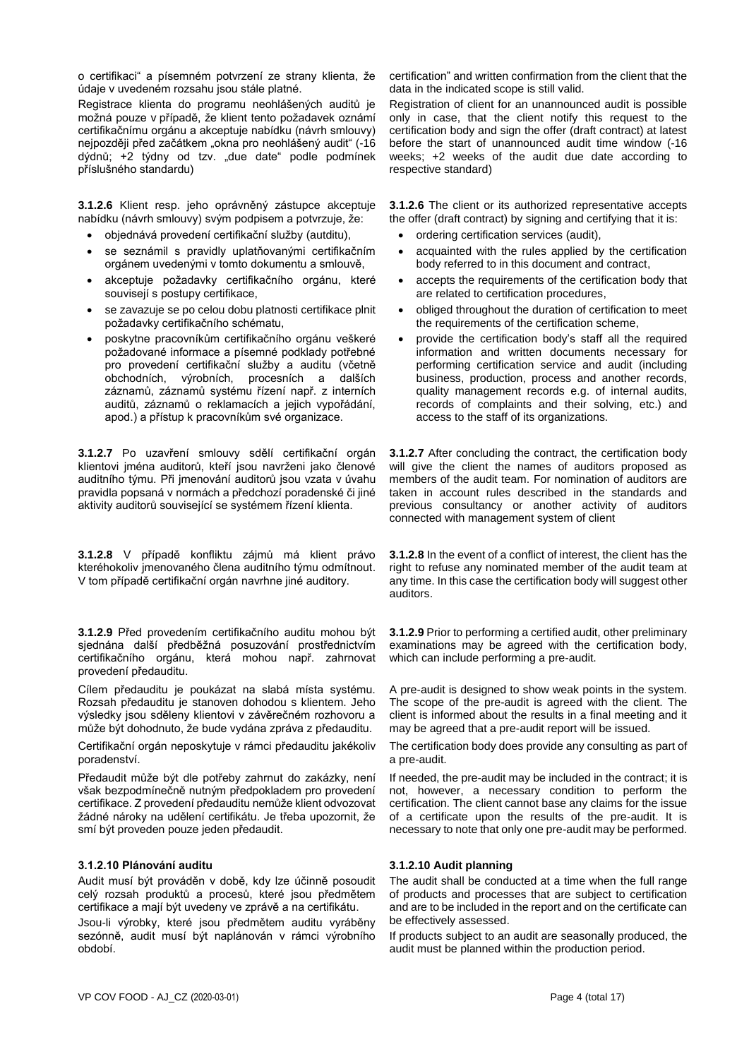o certifikaci" a písemném potvrzení ze strany klienta, že údaje v uvedeném rozsahu jsou stále platné.

Registrace klienta do programu neohlášených auditů je možná pouze v případě, že klient tento požadavek oznámí certifikačnímu orgánu a akceptuje nabídku (návrh smlouvy) nejpozději před začátkem "okna pro neohlášený audit" (-16 dýdnů; +2 týdny od tzv. "due date" podle podmínek příslušného standardu)

**3.1.2.6** Klient resp. jeho oprávněný zástupce akceptuje nabídku (návrh smlouvy) svým podpisem a potvrzuje, že:

- objednává provedení certifikační služby (autditu),
- se seznámil s pravidly uplatňovanými certifikačním orgánem uvedenými v tomto dokumentu a smlouvě,
- akceptuje požadavky certifikačního orgánu, které souvisejí s postupy certifikace,
- se zavazuje se po celou dobu platnosti certifikace plnit požadavky certifikačního schématu,
- poskytne pracovníkům certifikačního orgánu veškeré požadované informace a písemné podklady potřebné pro provedení certifikační služby a auditu (včetně obchodních, výrobních, procesních a dalších záznamů, záznamů systému řízení např. z interních auditů, záznamů o reklamacích a jejich vypořádání, apod.) a přístup k pracovníkům své organizace.

**3.1.2.7** Po uzavření smlouvy sdělí certifikační orgán klientovi jména auditorů, kteří jsou navrženi jako členové auditního týmu. Při jmenování auditorů jsou vzata v úvahu pravidla popsaná v normách a předchozí poradenské či jiné aktivity auditorů související se systémem řízení klienta.

**3.1.2.8** V případě konfliktu zájmů má klient právo kteréhokoliv jmenovaného člena auditního týmu odmítnout. V tom případě certifikační orgán navrhne jiné auditory.

**3.1.2.9** Před provedením certifikačního auditu mohou být sjednána další předběžná posuzování prostřednictvím certifikačního orgánu, která mohou např. zahrnovat provedení předauditu.

Cílem předauditu je poukázat na slabá místa systému. Rozsah předauditu je stanoven dohodou s klientem. Jeho výsledky jsou sděleny klientovi v závěrečném rozhovoru a může být dohodnuto, že bude vydána zpráva z předauditu.

Certifikační orgán neposkytuje v rámci předauditu jakékoliv poradenství.

Předaudit může být dle potřeby zahrnut do zakázky, není však bezpodmínečně nutným předpokladem pro provedení certifikace. Z provedení předauditu nemůže klient odvozovat žádné nároky na udělení certifikátu. Je třeba upozornit, že smí být proveden pouze jeden předaudit.

# **3.1.2.10 Plánování auditu**

Audit musí být prováděn v době, kdy lze účinně posoudit celý rozsah produktů a procesů, které jsou předmětem certifikace a mají být uvedeny ve zprávě a na certifikátu.

Jsou-li výrobky, které jsou předmětem auditu vyráběny sezónně, audit musí být naplánován v rámci výrobního období.

certification" and written confirmation from the client that the data in the indicated scope is still valid.

Registration of client for an unannounced audit is possible only in case, that the client notify this request to the certification body and sign the offer (draft contract) at latest before the start of unannounced audit time window (-16 weeks; +2 weeks of the audit due date according to respective standard)

**3.1.2.6** The client or its authorized representative accepts the offer (draft contract) by signing and certifying that it is:

- ordering certification services (audit),
- acquainted with the rules applied by the certification body referred to in this document and contract,
- accepts the requirements of the certification body that are related to certification procedures,
- obliged throughout the duration of certification to meet the requirements of the certification scheme,
- provide the certification body's staff all the required information and written documents necessary for performing certification service and audit (including business, production, process and another records, quality management records e.g. of internal audits, records of complaints and their solving, etc.) and access to the staff of its organizations.

**3.1.2.7** After concluding the contract, the certification body will give the client the names of auditors proposed as members of the audit team. For nomination of auditors are taken in account rules described in the standards and previous consultancy or another activity of auditors connected with management system of client

**3.1.2.8** In the event of a conflict of interest, the client has the right to refuse any nominated member of the audit team at any time. In this case the certification body will suggest other auditors.

**3.1.2.9** Prior to performing a certified audit, other preliminary examinations may be agreed with the certification body, which can include performing a pre-audit.

A pre-audit is designed to show weak points in the system. The scope of the pre-audit is agreed with the client. The client is informed about the results in a final meeting and it may be agreed that a pre-audit report will be issued.

The certification body does provide any consulting as part of a pre-audit.

If needed, the pre-audit may be included in the contract; it is not, however, a necessary condition to perform the certification. The client cannot base any claims for the issue of a certificate upon the results of the pre-audit. It is necessary to note that only one pre-audit may be performed.

# **3.1.2.10 Audit planning**

The audit shall be conducted at a time when the full range of products and processes that are subject to certification and are to be included in the report and on the certificate can be effectively assessed.

If products subject to an audit are seasonally produced, the audit must be planned within the production period.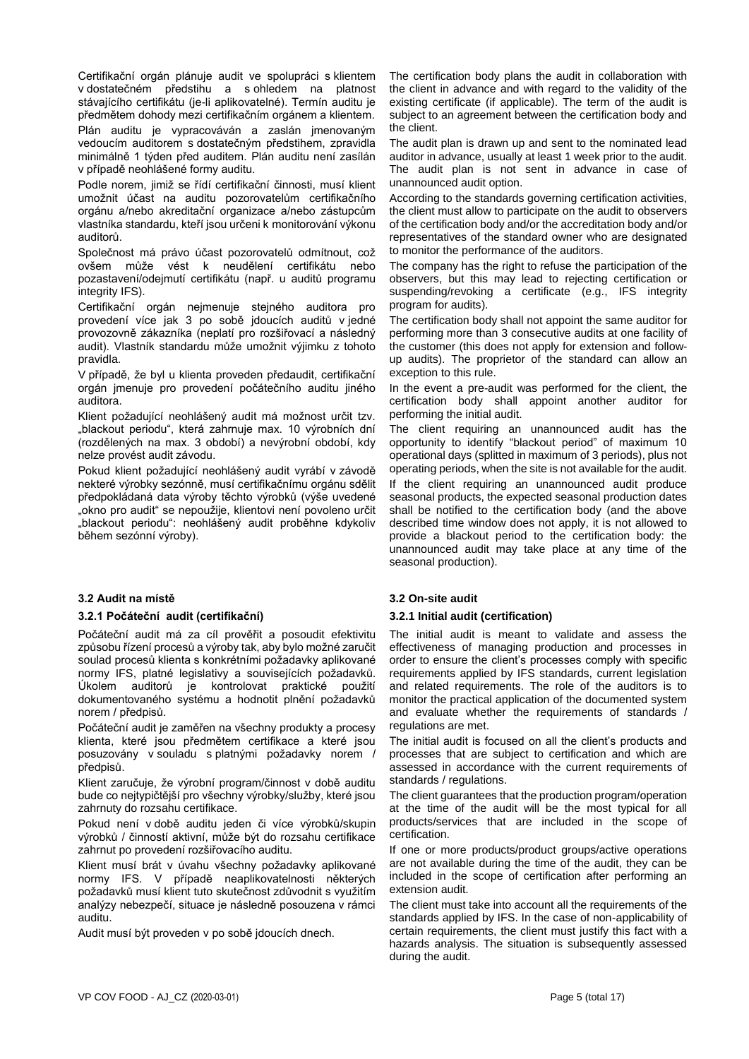Certifikační orgán plánuje audit ve spolupráci s klientem v dostatečném předstihu a s ohledem na platnost stávajícího certifikátu (je-li aplikovatelné). Termín auditu je předmětem dohody mezi certifikačním orgánem a klientem.

Plán auditu je vypracováván a zaslán jmenovaným vedoucím auditorem s dostatečným předstihem, zpravidla minimálně 1 týden před auditem. Plán auditu není zasílán v případě neohlášené formy auditu.

Podle norem, jimiž se řídí certifikační činnosti, musí klient umožnit účast na auditu pozorovatelům certifikačního orgánu a/nebo akreditační organizace a/nebo zástupcům vlastníka standardu, kteří jsou určeni k monitorování výkonu auditorů.

Společnost má právo účast pozorovatelů odmítnout, což ovšem může vést k neudělení certifikátu nebo pozastavení/odejmutí certifikátu (např. u auditů programu integrity IFS).

Certifikační orgán nejmenuje stejného auditora pro provedení více jak 3 po sobě jdoucích auditů v jedné provozovně zákazníka (neplatí pro rozšiřovací a následný audit). Vlastník standardu může umožnit výjimku z tohoto pravidla.

V případě, že byl u klienta proveden předaudit, certifikační orgán jmenuje pro provedení počátečního auditu jiného auditora.

Klient požadující neohlášený audit má možnost určit tzv. "blackout periodu", která zahrnuje max. 10 výrobních dní (rozdělených na max. 3 období) a nevýrobní období, kdy nelze provést audit závodu.

Pokud klient požadující neohlášený audit vyrábí v závodě nekteré výrobky sezónně, musí certifikačnímu orgánu sdělit předpokládaná data výroby těchto výrobků (výše uvedené "okno pro audit" se nepoužije, klientovi není povoleno určit "blackout periodu": neohlášený audit proběhne kdykoliv během sezónní výroby).

# **3.2 Audit na místě 3.2 On-site audit**

# **3.2.1 Počáteční audit (certifikační) 3.2.1 Initial audit (certification)**

Počáteční audit má za cíl prověřit a posoudit efektivitu způsobu řízení procesů a výroby tak, aby bylo možné zaručit soulad procesů klienta s konkrétními požadavky aplikované normy IFS, platné legislativy a souvisejících požadavků. Úkolem auditorů je kontrolovat praktické použití dokumentovaného systému a hodnotit plnění požadavků norem / předpisů.

Počáteční audit je zaměřen na všechny produkty a procesy klienta, které jsou předmětem certifikace a které jsou posuzovány v souladu s platnými požadavky norem / předpisů.

Klient zaručuje, že výrobní program/činnost v době auditu bude co nejtypičtější pro všechny výrobky/služby, které jsou zahrnuty do rozsahu certifikace.

Pokud není v době auditu jeden či více výrobků/skupin výrobků / činností aktivní, může být do rozsahu certifikace zahrnut po provedení rozšiřovacího auditu.

Klient musí brát v úvahu všechny požadavky aplikované normy IFS. V případě neaplikovatelnosti některých požadavků musí klient tuto skutečnost zdůvodnit s využitím analýzy nebezpečí, situace je následně posouzena v rámci auditu.

Audit musí být proveden v po sobě jdoucích dnech.

The certification body plans the audit in collaboration with the client in advance and with regard to the validity of the existing certificate (if applicable). The term of the audit is subject to an agreement between the certification body and the client.

The audit plan is drawn up and sent to the nominated lead auditor in advance, usually at least 1 week prior to the audit. The audit plan is not sent in advance in case of unannounced audit option.

According to the standards governing certification activities, the client must allow to participate on the audit to observers of the certification body and/or the accreditation body and/or representatives of the standard owner who are designated to monitor the performance of the auditors.

The company has the right to refuse the participation of the observers, but this may lead to rejecting certification or suspending/revoking a certificate (e.g., IFS integrity program for audits).

The certification body shall not appoint the same auditor for performing more than 3 consecutive audits at one facility of the customer (this does not apply for extension and followup audits). The proprietor of the standard can allow an exception to this rule.

In the event a pre-audit was performed for the client, the certification body shall appoint another auditor for performing the initial audit.

The client requiring an unannounced audit has the opportunity to identify "blackout period" of maximum 10 operational days (splitted in maximum of 3 periods), plus not operating periods, when the site is not available for the audit. If the client requiring an unannounced audit produce seasonal products, the expected seasonal production dates shall be notified to the certification body (and the above described time window does not apply, it is not allowed to provide a blackout period to the certification body: the unannounced audit may take place at any time of the seasonal production).

The initial audit is meant to validate and assess the effectiveness of managing production and processes in order to ensure the client's processes comply with specific requirements applied by IFS standards, current legislation and related requirements. The role of the auditors is to monitor the practical application of the documented system and evaluate whether the requirements of standards / regulations are met.

The initial audit is focused on all the client's products and processes that are subject to certification and which are assessed in accordance with the current requirements of standards / regulations.

The client guarantees that the production program/operation at the time of the audit will be the most typical for all products/services that are included in the scope of certification.

If one or more products/product groups/active operations are not available during the time of the audit, they can be included in the scope of certification after performing an extension audit.

The client must take into account all the requirements of the standards applied by IFS. In the case of non-applicability of certain requirements, the client must justify this fact with a hazards analysis. The situation is subsequently assessed during the audit.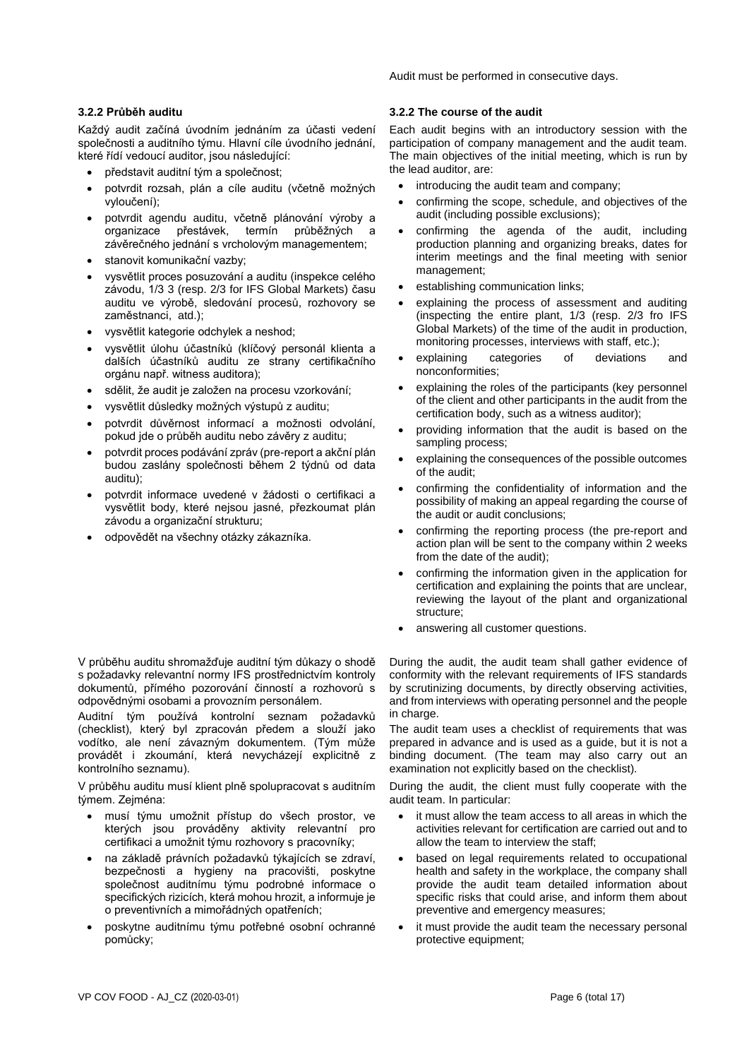Audit must be performed in consecutive days.

Každý audit začíná úvodním jednáním za účasti vedení společnosti a auditního týmu. Hlavní cíle úvodního jednání, které řídí vedoucí auditor, jsou následující:

- představit auditní tým a společnost;
- potvrdit rozsah, plán a cíle auditu (včetně možných vyloučení);
- potvrdit agendu auditu, včetně plánování výroby a organizace přestávek, termín průběžných a závěrečného jednání s vrcholovým managementem;
- stanovit komunikační vazby;
- vysvětlit proces posuzování a auditu (inspekce celého závodu, 1/3 3 (resp. 2/3 for IFS Global Markets) času auditu ve výrobě, sledování procesů, rozhovory se zaměstnanci, atd.);
- vysvětlit kategorie odchylek a neshod;
- vysvětlit úlohu účastníků (klíčový personál klienta a dalších účastníků auditu ze strany certifikačního orgánu např. witness auditora);
- sdělit, že audit je založen na procesu vzorkování;
- vysvětlit důsledky možných výstupů z auditu;
- potvrdit důvěrnost informací a možnosti odvolání, pokud jde o průběh auditu nebo závěry z auditu;
- potvrdit proces podávání zpráv (pre-report a akční plán budou zaslány společnosti během 2 týdnů od data auditu);
- potvrdit informace uvedené v žádosti o certifikaci a vysvětlit body, které nejsou jasné, přezkoumat plán závodu a organizační strukturu;
- odpovědět na všechny otázky zákazníka.

V průběhu auditu shromažďuje auditní tým důkazy o shodě s požadavky relevantní normy IFS prostřednictvím kontroly dokumentů, přímého pozorování činností a rozhovorů s odpovědnými osobami a provozním personálem.

Auditní tým používá kontrolní seznam požadavků (checklist), který byl zpracován předem a slouží jako vodítko, ale není závazným dokumentem. (Tým může provádět i zkoumání, která nevycházejí explicitně z kontrolního seznamu).

V průběhu auditu musí klient plně spolupracovat s auditním týmem. Zejména:

- musí týmu umožnit přístup do všech prostor, ve kterých jsou prováděny aktivity relevantní pro certifikaci a umožnit týmu rozhovory s pracovníky;
- na základě právních požadavků týkajících se zdraví, bezpečnosti a hygieny na pracovišti, poskytne společnost auditnímu týmu podrobné informace o specifických rizicích, která mohou hrozit, a informuje je o preventivních a mimořádných opatřeních;
- poskytne auditnímu týmu potřebné osobní ochranné pomůcky;

# **3.2.2 Průběh auditu 3.2.2 The course of the audit**

Each audit begins with an introductory session with the participation of company management and the audit team. The main objectives of the initial meeting, which is run by the lead auditor, are:

- introducing the audit team and company;
- confirming the scope, schedule, and objectives of the audit (including possible exclusions);
- confirming the agenda of the audit, including production planning and organizing breaks, dates for interim meetings and the final meeting with senior management;
- establishing communication links;
- explaining the process of assessment and auditing (inspecting the entire plant, 1/3 (resp. 2/3 fro IFS Global Markets) of the time of the audit in production, monitoring processes, interviews with staff, etc.);
- explaining categories of deviations and nonconformities;
- explaining the roles of the participants (key personnel of the client and other participants in the audit from the certification body, such as a witness auditor);
- providing information that the audit is based on the sampling process;
- explaining the consequences of the possible outcomes of the audit;
- confirming the confidentiality of information and the possibility of making an appeal regarding the course of the audit or audit conclusions;
- confirming the reporting process (the pre-report and action plan will be sent to the company within 2 weeks from the date of the audit);
- confirming the information given in the application for certification and explaining the points that are unclear, reviewing the layout of the plant and organizational structure;
- answering all customer questions.

During the audit, the audit team shall gather evidence of conformity with the relevant requirements of IFS standards by scrutinizing documents, by directly observing activities, and from interviews with operating personnel and the people in charge.

The audit team uses a checklist of requirements that was prepared in advance and is used as a guide, but it is not a binding document. (The team may also carry out an examination not explicitly based on the checklist).

During the audit, the client must fully cooperate with the audit team. In particular:

- it must allow the team access to all areas in which the activities relevant for certification are carried out and to allow the team to interview the staff;
- based on legal requirements related to occupational health and safety in the workplace, the company shall provide the audit team detailed information about specific risks that could arise, and inform them about preventive and emergency measures;
- it must provide the audit team the necessary personal protective equipment;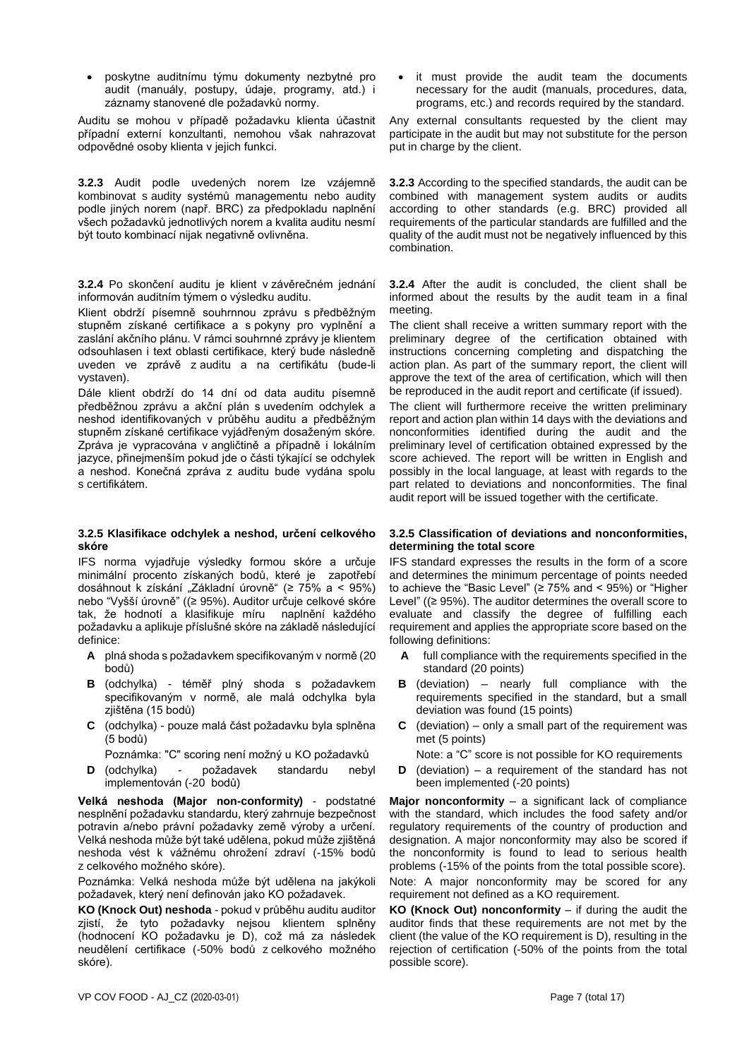• poskytne auditnímu týmu dokumenty nezbytné pro audit (manuály, postupy, údaje, programy, atd.) i záznamy stanovené dle požadavků normy.

Auditu se mohou v případě požadavku klienta účastnit případní externí konzultanti, nemohou však nahrazovat odpovědné osoby klienta v jejich funkci.

**3.2.3** Audit podle uvedených norem lze vzájemně kombinovat s audity systémů managementu nebo audity podle jiných norem (např. BRC) za předpokladu naplnění všech požadavků jednotlivých norem a kvalita auditu nesmí být touto kombinací nijak negativně ovlivněna.

**3.2.4** Po skončení auditu je klient v závěrečném jednání informován auditním týmem o výsledku auditu.

Klient obdrží písemně souhrnnou zprávu s předběžným stupněm získané certifikace a s pokyny pro vyplnění a zaslání akčního plánu. V rámci souhrnné zprávy je klientem odsouhlasen i text oblasti certifikace, který bude následně uveden ve zprávě z auditu a na certifikátu (bude-li vystaven).

Dále klient obdrží do 14 dní od data auditu písemně předběžnou zprávu a akční plán s uvedením odchylek a neshod identifikovaných v průběhu auditu a předběžným stupněm získané certifikace vyjádřeným dosaženým skóre. Zpráva je vypracována v angličtině a případně i lokálním jazyce, přinejmenším pokud jde o části týkající se odchylek a neshod. Konečná zpráva z auditu bude vydána spolu s certifikátem.

# **3.2.5 Klasifikace odchylek a neshod, určení celkového skóre**

IFS norma vyjadřuje výsledky formou skóre a určuje minimální procento získaných bodů, které je zapotřebí dosáhnout k získání "Základní úrovně" (≥ 75% a < 95%) nebo "Vyšší úrovně" ((≥ 95%). Auditor určuje celkové skóre tak, že hodnotí a klasifikuje míru naplnění každého požadavku a aplikuje příslušné skóre na základě následující definice:

- **A** plná shoda s požadavkem specifikovaným v normě (20 bodů)
- **B** (odchylka) téměř plný shoda s požadavkem specifikovaným v normě, ale malá odchylka byla zjištěna (15 bodů)
- **C** (odchylka) pouze malá část požadavku byla splněna (5 bodů)
	- Poznámka: "C" scoring není možný u KO požadavků
- **D** (odchylka) požadavek standardu nebyl implementován (-20 bodů)

**Velká neshoda (Major non-conformity)** - podstatné nesplnění požadavku standardu, který zahrnuje bezpečnost potravin a/nebo právní požadavky země výroby a určení. Velká neshoda může být také udělena, pokud může zjištěná neshoda vést k vážnému ohrožení zdraví (-15% bodů z celkového možného skóre).

Poznámka: Velká neshoda může být udělena na jakýkoli požadavek, který není definován jako KO požadavek.

**KO (Knock Out) neshoda** - pokud v průběhu auditu auditor zjistí, že tyto požadavky nejsou klientem splněny (hodnocení KO požadavku je D), což má za následek neudělení certifikace (-50% bodů z celkového možného skóre).

it must provide the audit team the documents necessary for the audit (manuals, procedures, data, programs, etc.) and records required by the standard.

Any external consultants requested by the client may participate in the audit but may not substitute for the person put in charge by the client.

**3.2.3** According to the specified standards, the audit can be combined with management system audits or audits according to other standards (e.g. BRC) provided all requirements of the particular standards are fulfilled and the quality of the audit must not be negatively influenced by this combination.

**3.2.4** After the audit is concluded, the client shall be informed about the results by the audit team in a final meeting.

The client shall receive a written summary report with the preliminary degree of the certification obtained with instructions concerning completing and dispatching the action plan. As part of the summary report, the client will approve the text of the area of certification, which will then be reproduced in the audit report and certificate (if issued).

The client will furthermore receive the written preliminary report and action plan within 14 days with the deviations and nonconformities identified during the audit and the preliminary level of certification obtained expressed by the score achieved. The report will be written in English and possibly in the local language, at least with regards to the part related to deviations and nonconformities. The final audit report will be issued together with the certificate.

# **3.2.5 Classification of deviations and nonconformities, determining the total score**

IFS standard expresses the results in the form of a score and determines the minimum percentage of points needed to achieve the "Basic Level" (≥ 75% and < 95%) or "Higher Level" ((≥ 95%). The auditor determines the overall score to evaluate and classify the degree of fulfilling each requirement and applies the appropriate score based on the following definitions:

- full compliance with the requirements specified in the standard (20 points)
- **B** (deviation) nearly full compliance with the requirements specified in the standard, but a small deviation was found (15 points)
- **C** (deviation) only a small part of the requirement was met (5 points)

Note: a "C" score is not possible for KO requirements

**D** (deviation) – a requirement of the standard has not been implemented (-20 points)

**Major nonconformity** – a significant lack of compliance with the standard, which includes the food safety and/or regulatory requirements of the country of production and designation. A major nonconformity may also be scored if the nonconformity is found to lead to serious health problems (-15% of the points from the total possible score).

Note: A major nonconformity may be scored for any requirement not defined as a KO requirement.

**KO (Knock Out) nonconformity** – if during the audit the auditor finds that these requirements are not met by the client (the value of the KO requirement is D), resulting in the rejection of certification (-50% of the points from the total possible score).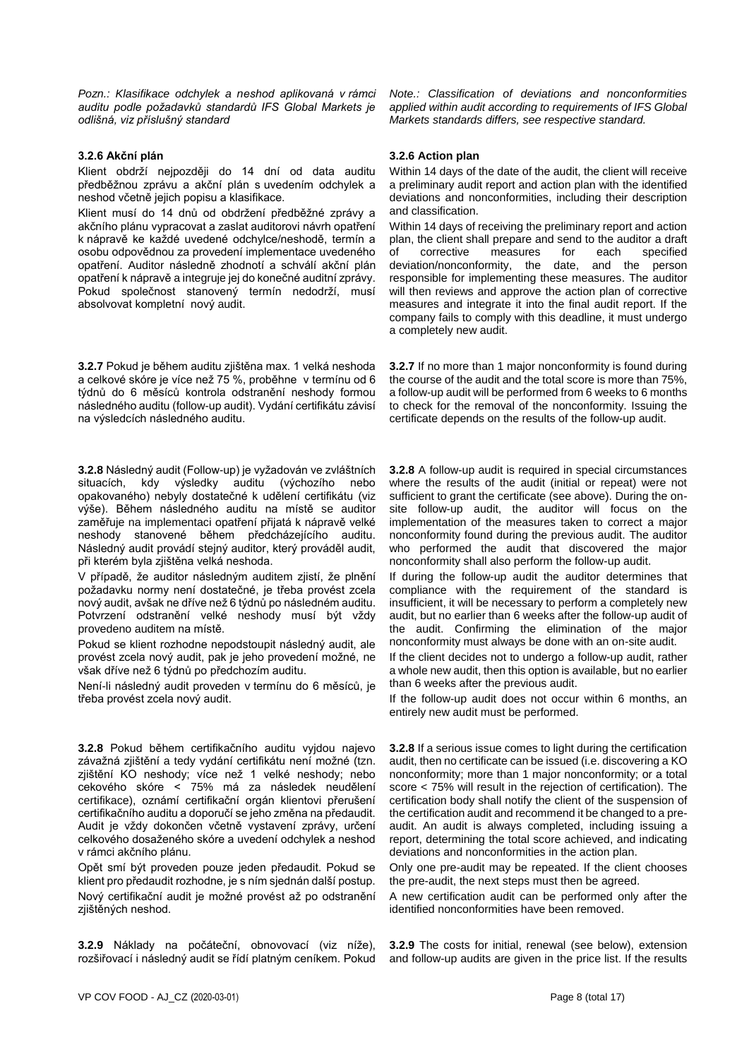*Pozn.: Klasifikace odchylek a neshod aplikovaná v rámci auditu podle požadavků standardů IFS Global Markets je odlišná, viz příslušný standard*

# **3.2.6 Akční plán**

Klient obdrží nejpozději do 14 dní od data auditu předběžnou zprávu a akční plán s uvedením odchylek a neshod včetně jejich popisu a klasifikace.

Klient musí do 14 dnů od obdržení předběžné zprávy a akčního plánu vypracovat a zaslat auditorovi návrh opatření k nápravě ke každé uvedené odchylce/neshodě, termín a osobu odpovědnou za provedení implementace uvedeného opatření. Auditor následně zhodnotí a schválí akční plán opatření k nápravě a integruje jej do konečné auditní zprávy. Pokud společnost stanovený termín nedodrží, musí absolvovat kompletní nový audit.

**3.2.7** Pokud je během auditu zjištěna max. 1 velká neshoda a celkové skóre je více než 75 %, proběhne v termínu od 6 týdnů do 6 měsíců kontrola odstranění neshody formou následného auditu (follow-up audit). Vydání certifikátu závisí na výsledcích následného auditu.

**3.2.8** Následný audit (Follow-up) je vyžadován ve zvláštních situacích, kdy výsledky auditu (výchozího nebo opakovaného) nebyly dostatečné k udělení certifikátu (viz výše). Během následného auditu na místě se auditor zaměřuje na implementaci opatření přijatá k nápravě velké neshody stanovené během předcházejícího auditu. Následný audit provádí stejný auditor, který prováděl audit, při kterém byla zjištěna velká neshoda.

V případě, že auditor následným auditem zjistí, že plnění požadavku normy není dostatečné, je třeba provést zcela nový audit, avšak ne dříve než 6 týdnů po následném auditu. Potvrzení odstranění velké neshody musí být vždy provedeno auditem na místě.

Pokud se klient rozhodne nepodstoupit následný audit, ale provést zcela nový audit, pak je jeho provedení možné, ne však dříve než 6 týdnů po předchozím auditu.

Není-li následný audit proveden v termínu do 6 měsíců, je třeba provést zcela nový audit.

**3.2.8** Pokud během certifikačního auditu vyjdou najevo závažná zjištění a tedy vydání certifikátu není možné (tzn. zjištění KO neshody; více než 1 velké neshody; nebo cekového skóre < 75% má za následek neudělení certifikace), oznámí certifikační orgán klientovi přerušení certifikačního auditu a doporučí se jeho změna na předaudit. Audit je vždy dokončen včetně vystavení zprávy, určení celkového dosaženého skóre a uvedení odchylek a neshod v rámci akčního plánu.

Opět smí být proveden pouze jeden předaudit. Pokud se klient pro předaudit rozhodne, je s ním sjednán další postup. Nový certifikační audit je možné provést až po odstranění zjištěných neshod.

**3.2.9** Náklady na počáteční, obnovovací (viz níže), rozšiřovací i následný audit se řídí platným ceníkem. Pokud *Note.: Classification of deviations and nonconformities applied within audit according to requirements of IFS Global Markets standards differs, see respective standard.*

# **3.2.6 Action plan**

Within 14 days of the date of the audit, the client will receive a preliminary audit report and action plan with the identified deviations and nonconformities, including their description and classification.

Within 14 days of receiving the preliminary report and action plan, the client shall prepare and send to the auditor a draft of corrective measures for each specified<br>deviation/nonconformity, the date, and the person deviation/nonconformity, the responsible for implementing these measures. The auditor will then reviews and approve the action plan of corrective measures and integrate it into the final audit report. If the company fails to comply with this deadline, it must undergo a completely new audit.

**3.2.7** If no more than 1 major nonconformity is found during the course of the audit and the total score is more than 75%, a follow-up audit will be performed from 6 weeks to 6 months to check for the removal of the nonconformity. Issuing the certificate depends on the results of the follow-up audit.

**3.2.8** A follow-up audit is required in special circumstances where the results of the audit (initial or repeat) were not sufficient to grant the certificate (see above). During the onsite follow-up audit, the auditor will focus on the implementation of the measures taken to correct a major nonconformity found during the previous audit. The auditor who performed the audit that discovered the major nonconformity shall also perform the follow-up audit.

If during the follow-up audit the auditor determines that compliance with the requirement of the standard is insufficient, it will be necessary to perform a completely new audit, but no earlier than 6 weeks after the follow-up audit of the audit. Confirming the elimination of the major nonconformity must always be done with an on-site audit.

If the client decides not to undergo a follow-up audit, rather a whole new audit, then this option is available, but no earlier than 6 weeks after the previous audit.

If the follow-up audit does not occur within 6 months, an entirely new audit must be performed.

**3.2.8** If a serious issue comes to light during the certification audit, then no certificate can be issued (i.e. discovering a KO nonconformity; more than 1 major nonconformity; or a total score < 75% will result in the rejection of certification). The certification body shall notify the client of the suspension of the certification audit and recommend it be changed to a preaudit. An audit is always completed, including issuing a report, determining the total score achieved, and indicating deviations and nonconformities in the action plan.

Only one pre-audit may be repeated. If the client chooses the pre-audit, the next steps must then be agreed.

A new certification audit can be performed only after the identified nonconformities have been removed.

**3.2.9** The costs for initial, renewal (see below), extension and follow-up audits are given in the price list. If the results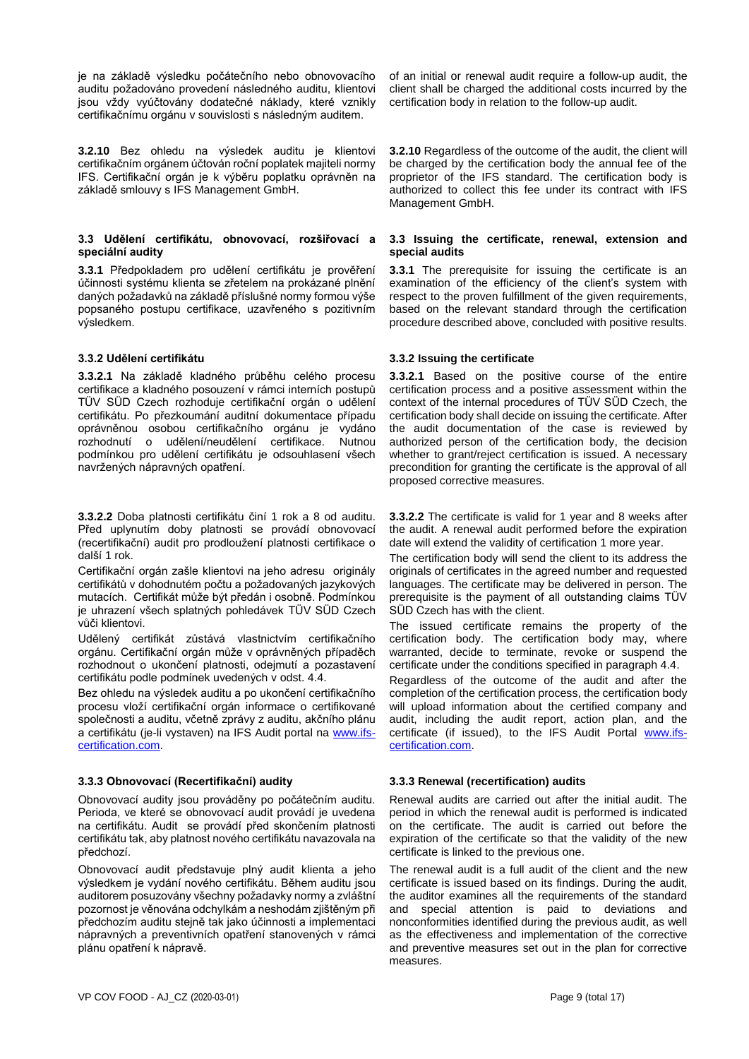je na základě výsledku počátečního nebo obnovovacího auditu požadováno provedení následného auditu, klientovi jsou vždy vyúčtovány dodatečné náklady, které vznikly certifikačnímu orgánu v souvislosti s následným auditem.

**3.2.10** Bez ohledu na výsledek auditu je klientovi certifikačním orgánem účtován roční poplatek majiteli normy IFS. Certifikační orgán je k výběru poplatku oprávněn na základě smlouvy s IFS Management GmbH.

# **3.3 Udělení certifikátu, obnovovací, rozšiřovací a speciální audity**

**3.3.1** Předpokladem pro udělení certifikátu je prověření účinnosti systému klienta se zřetelem na prokázané plnění daných požadavků na základě příslušné normy formou výše popsaného postupu certifikace, uzavřeného s pozitivním výsledkem.

**3.3.2.1** Na základě kladného průběhu celého procesu certifikace a kladného posouzení v rámci interních postupů TÜV SÜD Czech rozhoduje certifikační orgán o udělení certifikátu. Po přezkoumání auditní dokumentace případu oprávněnou osobou certifikačního orgánu je vydáno rozhodnutí o udělení/neudělení certifikace. Nutnou podmínkou pro udělení certifikátu je odsouhlasení všech navržených nápravných opatření.

**3.3.2.2** Doba platnosti certifikátu činí 1 rok a 8 od auditu. Před uplynutím doby platnosti se provádí obnovovací (recertifikační) audit pro prodloužení platnosti certifikace o další 1 rok.

Certifikační orgán zašle klientovi na jeho adresu originály certifikátů v dohodnutém počtu a požadovaných jazykových mutacích. Certifikát může být předán i osobně. Podmínkou je uhrazení všech splatných pohledávek TÜV SÜD Czech vůči klientovi.

Udělený certifikát zůstává vlastnictvím certifikačního orgánu. Certifikační orgán může v oprávněných případěch rozhodnout o ukončení platnosti, odejmutí a pozastavení certifikátu podle podmínek uvedených v odst. 4.4.

Bez ohledu na výsledek auditu a po ukončení certifikačního procesu vloží certifikační orgán informace o certifikované společnosti a auditu, včetně zprávy z auditu, akčního plánu a certifikátu (je-li vystaven) na IFS Audit portal na [www.ifs](http://www.ifs-certification.com/)[certification.com.](http://www.ifs-certification.com/)

# **3.3.3 Obnovovací (Recertifikační) audity 3.3.3 Renewal (recertification) audits**

Obnovovací audity jsou prováděny po počátečním auditu. Perioda, ve které se obnovovací audit provádí je uvedena na certifikátu. Audit se provádí před skončením platnosti certifikátu tak, aby platnost nového certifikátu navazovala na předchozí.

Obnovovací audit představuje plný audit klienta a jeho výsledkem je vydání nového certifikátu. Během auditu jsou auditorem posuzovány všechny požadavky normy a zvláštní pozornost je věnována odchylkám a neshodám zjištěným při předchozím auditu stejně tak jako účinnosti a implementaci nápravných a preventivních opatření stanovených v rámci plánu opatření k nápravě.

of an initial or renewal audit require a follow-up audit, the client shall be charged the additional costs incurred by the certification body in relation to the follow-up audit.

**3.2.10** Regardless of the outcome of the audit, the client will be charged by the certification body the annual fee of the proprietor of the IFS standard. The certification body is authorized to collect this fee under its contract with IFS Management GmbH.

### **3.3 Issuing the certificate, renewal, extension and special audits**

**3.3.1** The prerequisite for issuing the certificate is an examination of the efficiency of the client's system with respect to the proven fulfillment of the given requirements, based on the relevant standard through the certification procedure described above, concluded with positive results.

# **3.3.2 Udělení certifikátu 3.3.2 Issuing the certificate**

**3.3.2.1** Based on the positive course of the entire certification process and a positive assessment within the context of the internal procedures of TÜV SÜD Czech, the certification body shall decide on issuing the certificate. After the audit documentation of the case is reviewed by authorized person of the certification body, the decision whether to grant/reject certification is issued. A necessary precondition for granting the certificate is the approval of all proposed corrective measures.

**3.3.2.2** The certificate is valid for 1 year and 8 weeks after the audit. A renewal audit performed before the expiration date will extend the validity of certification 1 more year.

The certification body will send the client to its address the originals of certificates in the agreed number and requested languages. The certificate may be delivered in person. The prerequisite is the payment of all outstanding claims TÜV SÜD Czech has with the client.

The issued certificate remains the property of the certification body. The certification body may, where warranted, decide to terminate, revoke or suspend the certificate under the conditions specified in paragraph 4.4.

Regardless of the outcome of the audit and after the completion of the certification process, the certification body will upload information about the certified company and audit, including the audit report, action plan, and the certificate (if issued), to the IFS Audit Portal [www.ifs](http://www.ifs-certification.com/)[certification.com.](http://www.ifs-certification.com/)

Renewal audits are carried out after the initial audit. The period in which the renewal audit is performed is indicated on the certificate. The audit is carried out before the expiration of the certificate so that the validity of the new certificate is linked to the previous one.

The renewal audit is a full audit of the client and the new certificate is issued based on its findings. During the audit, the auditor examines all the requirements of the standard and special attention is paid to deviations and nonconformities identified during the previous audit, as well as the effectiveness and implementation of the corrective and preventive measures set out in the plan for corrective measures.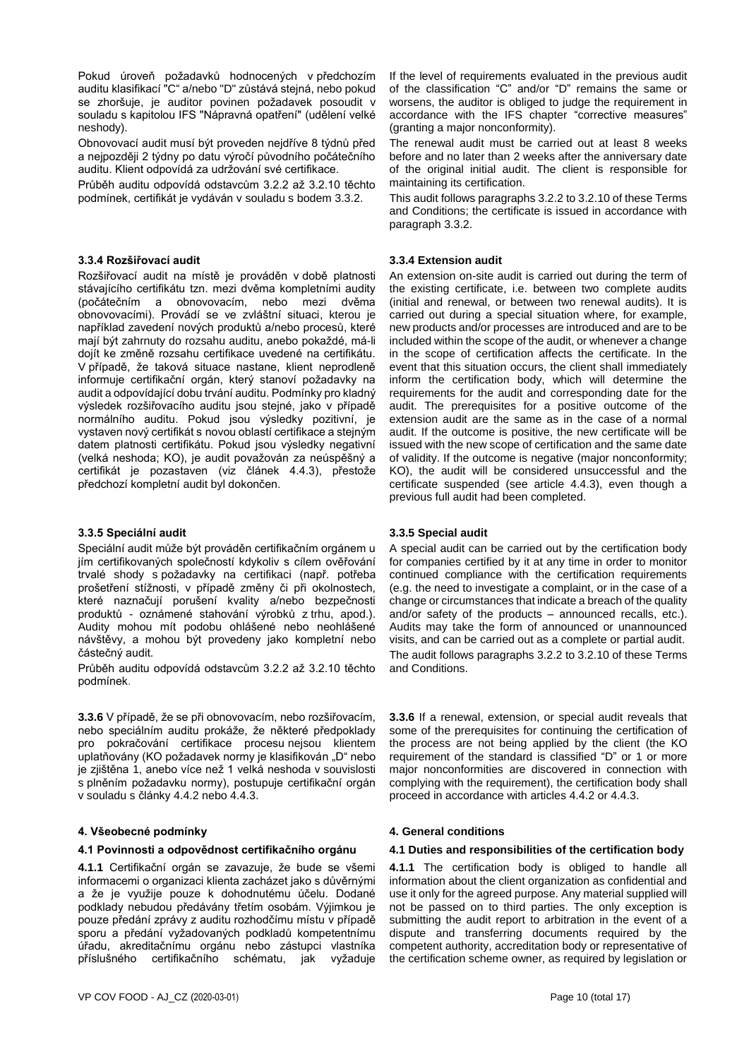Pokud úroveň požadavků hodnocených v předchozím auditu klasifikací "C" a/nebo "D" zůstává stejná, nebo pokud se zhoršuje, je auditor povinen požadavek posoudit v souladu s kapitolou IFS "Nápravná opatření" (udělení velké neshody).

Obnovovací audit musí být proveden nejdříve 8 týdnů před a nejpozději 2 týdny po datu výročí původního počátečního auditu. Klient odpovídá za udržování své certifikace.

Průběh auditu odpovídá odstavcům 3.2.2 až 3.2.10 těchto podmínek, certifikát je vydáván v souladu s bodem 3.3.2.

### **3.3.4 Rozšiřovací audit**

Rozšiřovací audit na místě je prováděn v době platnosti stávajícího certifikátu tzn. mezi dvěma kompletními audity (počátečním a obnovovacím, nebo mezi dvěma obnovovacími). Provádí se ve zvláštní situaci, kterou je například zavedení nových produktů a/nebo procesů, které mají být zahrnuty do rozsahu auditu, anebo pokaždé, má-li dojít ke změně rozsahu certifikace uvedené na certifikátu. V případě, že taková situace nastane, klient neprodleně informuje certifikační orgán, který stanoví požadavky na audit a odpovídající dobu trvání auditu. Podmínky pro kladný výsledek rozšiřovacího auditu jsou stejné, jako v případě normálního auditu. Pokud jsou výsledky pozitivní, je vystaven nový certifikát s novou oblastí certifikace a stejným datem platnosti certifikátu. Pokud jsou výsledky negativní (velká neshoda; KO), je audit považován za neúspěšný a certifikát je pozastaven (viz článek 4.4.3), přestože předchozí kompletní audit byl dokončen.

# **3.3.5 Speciální audit**

Speciální audit může být prováděn certifikačním orgánem u jím certifikovaných společností kdykoliv s cílem ověřování trvalé shody s požadavky na certifikaci (např. potřeba prošetření stížnosti, v případě změny či při okolnostech, které naznačují porušení kvality a/nebo bezpečnosti produktů - oznámené stahování výrobků z trhu, apod.). Audity mohou mít podobu ohlášené nebo neohlášené návštěvy, a mohou být provedeny jako kompletní nebo částečný audit.

Průběh auditu odpovídá odstavcům 3.2.2 až 3.2.10 těchto podmínek.

**3.3.6** V případě, že se při obnovovacím, nebo rozšiřovacím, nebo speciálním auditu prokáže, že některé předpoklady pro pokračování certifikace procesu nejsou klientem uplatňovány (KO požadavek normy je klasifikován "D" nebo je zjištěna 1, anebo více než 1 velká neshoda v souvislosti s plněním požadavku normy), postupuje certifikační orgán v souladu s články 4.4.2 nebo 4.4.3.

# **4. Všeobecné podmínky 4. General conditions**

**4.1.1** Certifikační orgán se zavazuje, že bude se všemi informacemi o organizaci klienta zacházet jako s důvěrnými a že je využije pouze k dohodnutému účelu. Dodané podklady nebudou předávány třetím osobám. Výjimkou je pouze předání zprávy z auditu rozhodčímu místu v případě sporu a předání vyžadovaných podkladů kompetentnímu úřadu, akreditačnímu orgánu nebo zástupci vlastníka příslušného certifikačního schématu, jak vyžaduje If the level of requirements evaluated in the previous audit of the classification "C" and/or "D" remains the same or worsens, the auditor is obliged to judge the requirement in accordance with the IFS chapter "corrective measures" (granting a major nonconformity).

The renewal audit must be carried out at least 8 weeks before and no later than 2 weeks after the anniversary date of the original initial audit. The client is responsible for maintaining its certification.

This audit follows paragraphs 3.2.2 to 3.2.10 of these Terms and Conditions; the certificate is issued in accordance with paragraph 3.3.2.

### **3.3.4 Extension audit**

An extension on-site audit is carried out during the term of the existing certificate, i.e. between two complete audits (initial and renewal, or between two renewal audits). It is carried out during a special situation where, for example, new products and/or processes are introduced and are to be included within the scope of the audit, or whenever a change in the scope of certification affects the certificate. In the event that this situation occurs, the client shall immediately inform the certification body, which will determine the requirements for the audit and corresponding date for the audit. The prerequisites for a positive outcome of the extension audit are the same as in the case of a normal audit. If the outcome is positive, the new certificate will be issued with the new scope of certification and the same date of validity. If the outcome is negative (major nonconformity; KO), the audit will be considered unsuccessful and the certificate suspended (see article 4.4.3), even though a previous full audit had been completed.

### **3.3.5 Special audit**

A special audit can be carried out by the certification body for companies certified by it at any time in order to monitor continued compliance with the certification requirements (e.g. the need to investigate a complaint, or in the case of a change or circumstances that indicate a breach of the quality and/or safety of the products – announced recalls, etc.). Audits may take the form of announced or unannounced visits, and can be carried out as a complete or partial audit. The audit follows paragraphs 3.2.2 to 3.2.10 of these Terms and Conditions.

**3.3.6** If a renewal, extension, or special audit reveals that some of the prerequisites for continuing the certification of the process are not being applied by the client (the KO requirement of the standard is classified "D" or 1 or more major nonconformities are discovered in connection with complying with the requirement), the certification body shall proceed in accordance with articles 4.4.2 or 4.4.3.

### **4.1 Povinnosti a odpovědnost certifikačního orgánu 4.1 Duties and responsibilities of the certification body**

**4.1.1** The certification body is obliged to handle all information about the client organization as confidential and use it only for the agreed purpose. Any material supplied will not be passed on to third parties. The only exception is submitting the audit report to arbitration in the event of a dispute and transferring documents required by the competent authority, accreditation body or representative of the certification scheme owner, as required by legislation or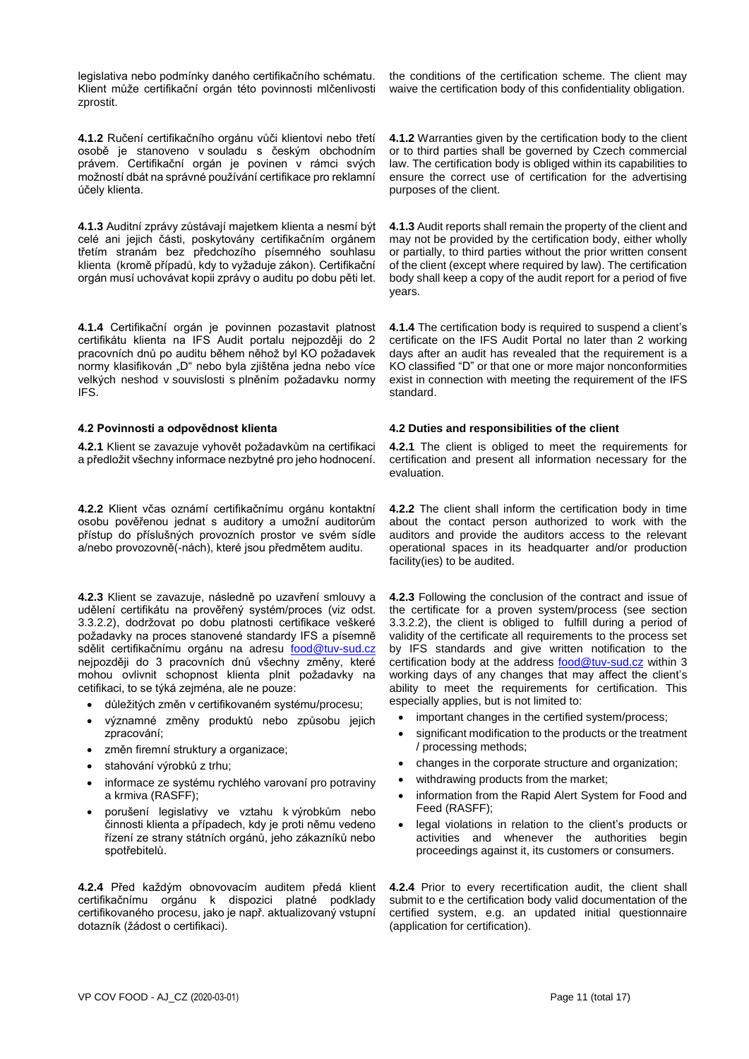legislativa nebo podmínky daného certifikačního schématu. Klient může certifikační orgán této povinnosti mlčenlivosti zprostit.

**4.1.2** Ručení certifikačního orgánu vůči klientovi nebo třetí osobě je stanoveno v souladu s českým obchodním právem. Certifikační orgán je povinen v rámci svých možností dbát na správné používání certifikace pro reklamní účely klienta.

**4.1.3** Auditní zprávy zůstávají majetkem klienta a nesmí být celé ani jejich části, poskytovány certifikačním orgánem třetím stranám bez předchozího písemného souhlasu klienta (kromě případů, kdy to vyžaduje zákon). Certifikační orgán musí uchovávat kopii zprávy o auditu po dobu pěti let.

**4.1.4** Certifikační orgán je povinnen pozastavit platnost certifikátu klienta na IFS Audit portalu nejpozději do 2 pracovních dnů po auditu během něhož byl KO požadavek normy klasifikován "D" nebo byla zjištěna jedna nebo více velkých neshod v souvislosti s plněním požadavku normy IFS.

**4.2.1** Klient se zavazuje vyhovět požadavkům na certifikaci a předložit všechny informace nezbytné pro jeho hodnocení.

**4.2.2** Klient včas oznámí certifikačnímu orgánu kontaktní osobu pověřenou jednat s auditory a umožní auditorům přístup do příslušných provozních prostor ve svém sídle a/nebo provozovně(-nách), které jsou předmětem auditu.

**4.2.3** Klient se zavazuje, následně po uzavření smlouvy a udělení certifikátu na prověřený systém/proces (viz odst. 3.3.2.2), dodržovat po dobu platnosti certifikace veškeré požadavky na proces stanovené standardy IFS a písemně sdělit certifikačnímu orgánu na adresu [food@tuv-sud.cz](mailto:food@tuv-sud.cz) nejpozději do 3 pracovních dnů všechny změny, které mohou ovlivnit schopnost klienta plnit požadavky na cetifikaci, to se týká zejména, ale ne pouze:

- důležitých změn v certifikovaném systému/procesu;
- významné změny produktů nebo způsobu jejich zpracování;
- změn firemní struktury a organizace;
- stahování výrobků z trhu;
- informace ze systému rychlého varovaní pro potraviny a krmiva (RASFF);
- porušení legislativy ve vztahu k výrobkům nebo činnosti klienta a případech, kdy je proti němu vedeno řízení ze strany státních orgánů, jeho zákazníků nebo spotřebitelů.

**4.2.4** Před každým obnovovacím auditem předá klient certifikačnímu orgánu k dispozici platné podklady certifikovaného procesu, jako je např. aktualizovaný vstupní dotazník (žádost o certifikaci).

the conditions of the certification scheme. The client may waive the certification body of this confidentiality obligation.

**4.1.2** Warranties given by the certification body to the client or to third parties shall be governed by Czech commercial law. The certification body is obliged within its capabilities to ensure the correct use of certification for the advertising purposes of the client.

**4.1.3** Audit reports shall remain the property of the client and may not be provided by the certification body, either wholly or partially, to third parties without the prior written consent of the client (except where required by law). The certification body shall keep a copy of the audit report for a period of five years.

**4.1.4** The certification body is required to suspend a client's certificate on the IFS Audit Portal no later than 2 working days after an audit has revealed that the requirement is a KO classified "D" or that one or more major nonconformities exist in connection with meeting the requirement of the IFS standard.

### **4.2 Povinnosti a odpovědnost klienta 4.2 Duties and responsibilities of the client**

**4.2.1** The client is obliged to meet the requirements for certification and present all information necessary for the evaluation.

**4.2.2** The client shall inform the certification body in time about the contact person authorized to work with the auditors and provide the auditors access to the relevant operational spaces in its headquarter and/or production facility(ies) to be audited.

**4.2.3** Following the conclusion of the contract and issue of the certificate for a proven system/process (see section 3.3.2.2), the client is obliged to fulfill during a period of validity of the certificate all requirements to the process set by IFS standards and give written notification to the certification body at the address [food@tuv-sud.cz](mailto:food@tuv-sud.cz) within 3 working days of any changes that may affect the client's ability to meet the requirements for certification. This especially applies, but is not limited to:

- important changes in the certified system/process;
- significant modification to the products or the treatment / processing methods;
- changes in the corporate structure and organization;
- withdrawing products from the market;
- information from the Rapid Alert System for Food and Feed (RASFF);
- legal violations in relation to the client's products or activities and whenever the authorities begin proceedings against it, its customers or consumers.

**4.2.4** Prior to every recertification audit, the client shall submit to e the certification body valid documentation of the certified system, e.g. an updated initial questionnaire (application for certification).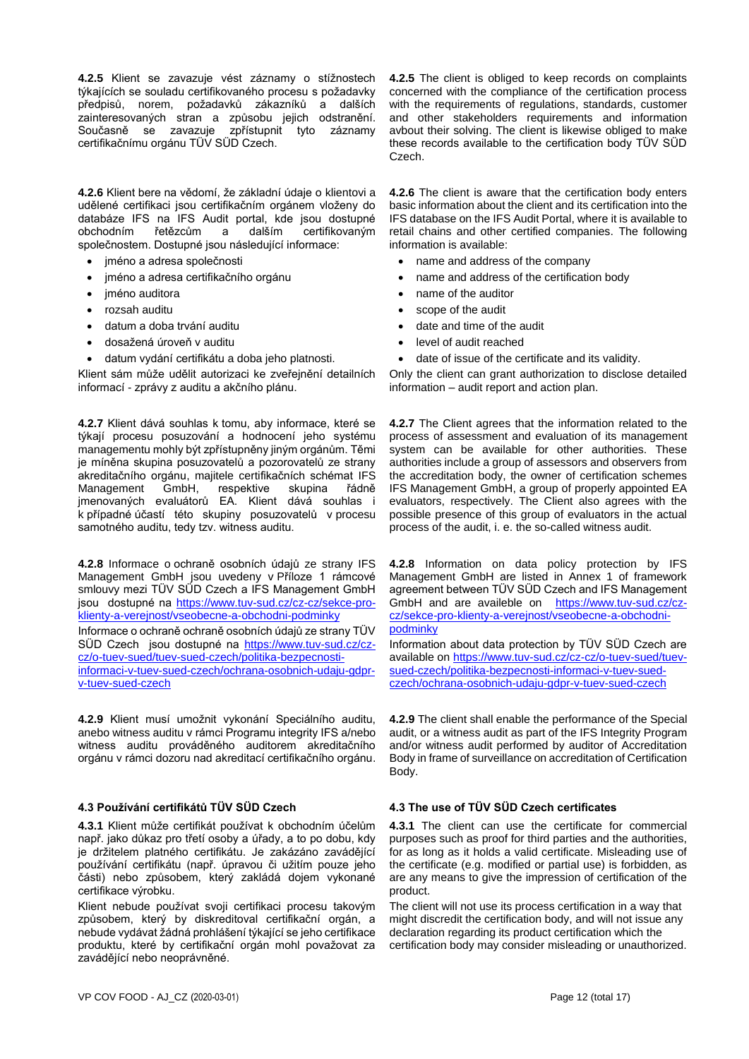**4.2.5** Klient se zavazuje vést záznamy o stížnostech týkajících se souladu certifikovaného procesu s požadavky předpisů, norem, požadavků zákazníků a dalších zainteresovaných stran a způsobu jejich odstranění. Současně se zavazuje zpřístupnit tyto záznamy certifikačnímu orgánu TÜV SÜD Czech.

**4.2.6** Klient bere na vědomí, že základní údaje o klientovi a udělené certifikaci jsou certifikačním orgánem vloženy do databáze IFS na IFS Audit portal, kde jsou dostupné<br>obchodním řetězcům a dalším certifikovaným obchodním řetězcům a dalším certifikovaným společnostem. Dostupné jsou následující informace:

- jméno a adresa společnosti
- jméno a adresa certifikačního orgánu
- jméno auditora
- rozsah auditu
- datum a doba trvání auditu
- dosažená úroveň v auditu
- datum vydání certifikátu a doba jeho platnosti.

Klient sám může udělit autorizaci ke zveřejnění detailních informací - zprávy z auditu a akčního plánu.

**4.2.7** Klient dává souhlas k tomu, aby informace, které se týkají procesu posuzování a hodnocení jeho systému managementu mohly být zpřístupněny jiným orgánům. Těmi je míněna skupina posuzovatelů a pozorovatelů ze strany akreditačního orgánu, majitele certifikačních schémat IFS<br>Management GmbH, respektive skupina řádně Management jmenovaných evaluátorů EA. Klient dává souhlas i k případné účastí této skupiny posuzovatelů v procesu samotného auditu, tedy tzv. witness auditu.

**4.2.8** Informace o ochraně osobních údajů ze strany IFS Management GmbH jsou uvedeny v Příloze 1 rámcové smlouvy mezi TÜV SÜD Czech a IFS Management GmbH jsou dostupné na [https://www.tuv-sud.cz/cz-cz/sekce-pro](https://www.tuv-sud.cz/cz-cz/sekce-pro-klienty-a-verejnost/vseobecne-a-obchodni-podminky)[klienty-a-verejnost/vseobecne-a-obchodni-podminky](https://www.tuv-sud.cz/cz-cz/sekce-pro-klienty-a-verejnost/vseobecne-a-obchodni-podminky)

Informace o ochraně ochraně osobních údajů ze strany TÜV SÜD Czech jsou dostupné na [https://www.tuv-sud.cz/cz](https://www.tuv-sud.cz/cz-cz/o-tuev-sued/tuev-sued-czech/politika-bezpecnosti-informaci-v-tuev-sued-czech/ochrana-osobnich-udaju-gdpr-v-tuev-sued-czech)[cz/o-tuev-sued/tuev-sued-czech/politika-bezpecnosti](https://www.tuv-sud.cz/cz-cz/o-tuev-sued/tuev-sued-czech/politika-bezpecnosti-informaci-v-tuev-sued-czech/ochrana-osobnich-udaju-gdpr-v-tuev-sued-czech)[informaci-v-tuev-sued-czech/ochrana-osobnich-udaju-gdpr](https://www.tuv-sud.cz/cz-cz/o-tuev-sued/tuev-sued-czech/politika-bezpecnosti-informaci-v-tuev-sued-czech/ochrana-osobnich-udaju-gdpr-v-tuev-sued-czech)[v-tuev-sued-czech](https://www.tuv-sud.cz/cz-cz/o-tuev-sued/tuev-sued-czech/politika-bezpecnosti-informaci-v-tuev-sued-czech/ochrana-osobnich-udaju-gdpr-v-tuev-sued-czech)

**4.2.9** Klient musí umožnit vykonání Speciálního auditu, anebo witness auditu v rámci Programu integrity IFS a/nebo witness auditu prováděného auditorem akreditačního orgánu v rámci dozoru nad akreditací certifikačního orgánu.

### **4.3 Používání certifikátů TÜV SÜD Czech 4.3 The use of TÜV SÜD Czech certificates**

**4.3.1** Klient může certifikát používat k obchodním účelům např. jako důkaz pro třetí osoby a úřady, a to po dobu, kdy je držitelem platného certifikátu. Je zakázáno zavádějící používání certifikátu (např. úpravou či užitím pouze jeho části) nebo způsobem, který zakládá dojem vykonané certifikace výrobku.

Klient nebude používat svoji certifikaci procesu takovým způsobem, který by diskreditoval certifikační orgán, a nebude vydávat žádná prohlášení týkající se jeho certifikace produktu, které by certifikační orgán mohl považovat za zavádějící nebo neoprávněné.

**4.2.5** The client is obliged to keep records on complaints concerned with the compliance of the certification process with the requirements of regulations, standards, customer and other stakeholders requirements and information avbout their solving. The client is likewise obliged to make these records available to the certification body TÜV SÜD Czech.

**4.2.6** The client is aware that the certification body enters basic information about the client and its certification into the IFS database on the IFS Audit Portal, where it is available to retail chains and other certified companies. The following information is available:

- name and address of the company
- name and address of the certification body
- name of the auditor
- scope of the audit
- date and time of the audit
- level of audit reached
- date of issue of the certificate and its validity.

Only the client can grant authorization to disclose detailed information – audit report and action plan.

**4.2.7** The Client agrees that the information related to the process of assessment and evaluation of its management system can be available for other authorities. These authorities include a group of assessors and observers from the accreditation body, the owner of certification schemes IFS Management GmbH, a group of properly appointed EA evaluators, respectively. The Client also agrees with the possible presence of this group of evaluators in the actual process of the audit, i. e. the so-called witness audit.

**4.2.8** Information on data policy protection by IFS Management GmbH are listed in Annex 1 of framework agreement between TÜV SÜD Czech and IFS Management GmbH and are availeble on [https://www.tuv-sud.cz/cz](https://www.tuv-sud.cz/cz-cz/sekce-pro-klienty-a-verejnost/vseobecne-a-obchodni-podminky)[cz/sekce-pro-klienty-a-verejnost/vseobecne-a-obchodni](https://www.tuv-sud.cz/cz-cz/sekce-pro-klienty-a-verejnost/vseobecne-a-obchodni-podminky)[podminky](https://www.tuv-sud.cz/cz-cz/sekce-pro-klienty-a-verejnost/vseobecne-a-obchodni-podminky)

Information about data protection by TÜV SÜD Czech are available on [https://www.tuv-sud.cz/cz-cz/o-tuev-sued/tuev](https://www.tuv-sud.cz/cz-cz/o-tuev-sued/tuev-sued-czech/politika-bezpecnosti-informaci-v-tuev-sued-czech/ochrana-osobnich-udaju-gdpr-v-tuev-sued-czech)[sued-czech/politika-bezpecnosti-informaci-v-tuev-sued](https://www.tuv-sud.cz/cz-cz/o-tuev-sued/tuev-sued-czech/politika-bezpecnosti-informaci-v-tuev-sued-czech/ochrana-osobnich-udaju-gdpr-v-tuev-sued-czech)[czech/ochrana-osobnich-udaju-gdpr-v-tuev-sued-czech](https://www.tuv-sud.cz/cz-cz/o-tuev-sued/tuev-sued-czech/politika-bezpecnosti-informaci-v-tuev-sued-czech/ochrana-osobnich-udaju-gdpr-v-tuev-sued-czech)

**4.2.9** The client shall enable the performance of the Special audit, or a witness audit as part of the IFS Integrity Program and/or witness audit performed by auditor of Accreditation Body in frame of surveillance on accreditation of Certification Body.

**4.3.1** The client can use the certificate for commercial purposes such as proof for third parties and the authorities, for as long as it holds a valid certificate. Misleading use of the certificate (e.g. modified or partial use) is forbidden, as are any means to give the impression of certification of the product.

The client will not use its process certification in a way that might discredit the certification body, and will not issue any declaration regarding its product certification which the certification body may consider misleading or unauthorized.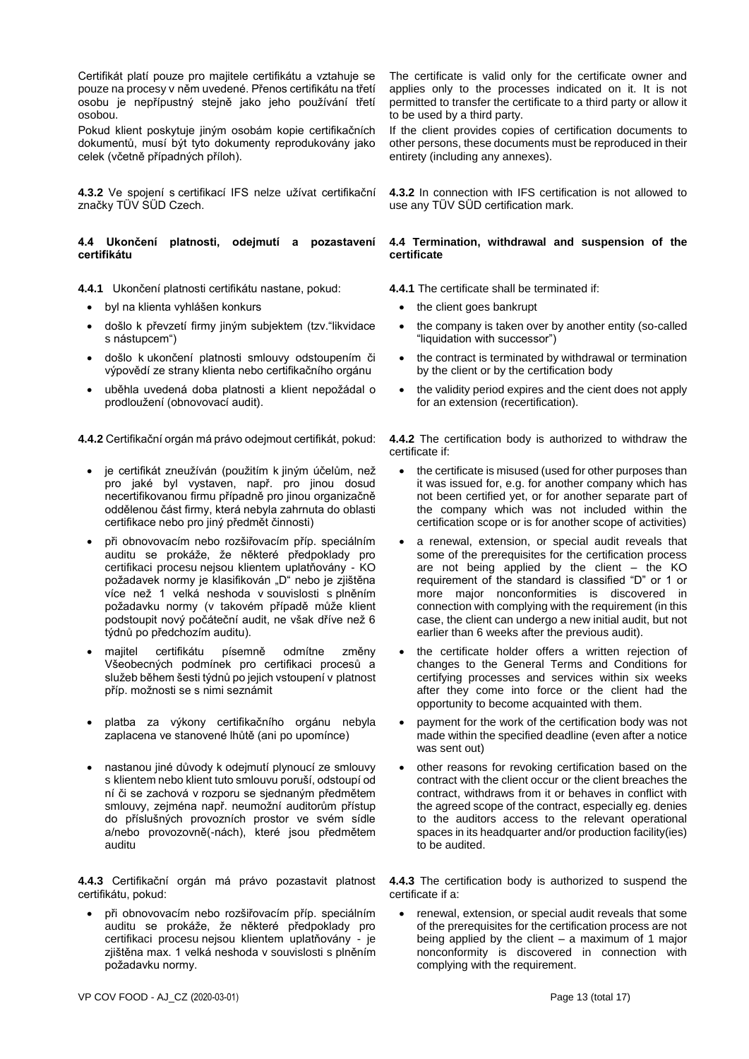Certifikát platí pouze pro majitele certifikátu a vztahuje se pouze na procesy v něm uvedené. Přenos certifikátu na třetí osobu je nepřípustný stejně jako jeho používání třetí osobou.

Pokud klient poskytuje jiným osobám kopie certifikačních dokumentů, musí být tyto dokumenty reprodukovány jako celek (včetně případných příloh).

**4.3.2** Ve spojení s certifikací IFS nelze užívat certifikační značky TÜV SÜD Czech.

# **4.4 Ukončení platnosti, odejmutí a pozastavení certifikátu**

**4.4.1** Ukončení platnosti certifikátu nastane, pokud: **4.4.1** The certificate shall be terminated if:

- byl na klienta vyhlášen konkurs the client goes bankrupt
- došlo k převzetí firmy jiným subjektem (tzv."likvidace s nástupcem")
- došlo k ukončení platnosti smlouvy odstoupením či výpovědí ze strany klienta nebo certifikačního orgánu
- uběhla uvedená doba platnosti a klient nepožádal o prodloužení (obnovovací audit).

**4.4.2** Certifikační orgán má právo odejmout certifikát, pokud: **4.4.2** The certification body is authorized to withdraw the

- je certifikát zneužíván (použitím k jiným účelům, než pro jaké byl vystaven, např. pro jinou dosud necertifikovanou firmu případně pro jinou organizačně oddělenou část firmy, která nebyla zahrnuta do oblasti certifikace nebo pro jiný předmět činnosti)
- při obnovovacím nebo rozšiřovacím příp. speciálním auditu se prokáže, že některé předpoklady pro certifikaci procesu nejsou klientem uplatňovány - KO požadavek normy je klasifikován "D" nebo je zjištěna více než 1 velká neshoda v souvislosti s plněním požadavku normy (v takovém případě může klient podstoupit nový počáteční audit, ne však dříve než 6 týdnů po předchozím auditu).
- majitel certifikátu písemně odmítne změny Všeobecných podmínek pro certifikaci procesů a služeb během šesti týdnů po jejich vstoupení v platnost příp. možnosti se s nimi seznámit
- platba za výkony certifikačního orgánu nebyla zaplacena ve stanovené lhůtě (ani po upomínce)
- nastanou jiné důvody k odejmutí plynoucí ze smlouvy s klientem nebo klient tuto smlouvu poruší, odstoupí od ní či se zachová v rozporu se sjednaným předmětem smlouvy, zejména např. neumožní auditorům přístup do příslušných provozních prostor ve svém sídle a/nebo provozovně(-nách), které jsou předmětem auditu

**4.4.3** Certifikační orgán má právo pozastavit platnost certifikátu, pokud:

• při obnovovacím nebo rozšiřovacím příp. speciálním auditu se prokáže, že některé předpoklady pro certifikaci procesu nejsou klientem uplatňovány - je zjištěna max. 1 velká neshoda v souvislosti s plněním požadavku normy.

The certificate is valid only for the certificate owner and applies only to the processes indicated on it. It is not permitted to transfer the certificate to a third party or allow it to be used by a third party.

If the client provides copies of certification documents to other persons, these documents must be reproduced in their entirety (including any annexes).

**4.3.2** In connection with IFS certification is not allowed to use any TÜV SÜD certification mark.

# **4.4 Termination, withdrawal and suspension of the certificate**

- 
- the company is taken over by another entity (so-called "liquidation with successor")
- the contract is terminated by withdrawal or termination by the client or by the certification body
- the validity period expires and the cient does not apply for an extension (recertification).

certificate if:

- the certificate is misused (used for other purposes than it was issued for, e.g. for another company which has not been certified yet, or for another separate part of the company which was not included within the certification scope or is for another scope of activities)
- a renewal, extension, or special audit reveals that some of the prerequisites for the certification process are not being applied by the client – the KO requirement of the standard is classified "D" or 1 or more major nonconformities is discovered in connection with complying with the requirement (in this case, the client can undergo a new initial audit, but not earlier than 6 weeks after the previous audit).
- the certificate holder offers a written rejection of changes to the General Terms and Conditions for certifying processes and services within six weeks after they come into force or the client had the opportunity to become acquainted with them.
- payment for the work of the certification body was not made within the specified deadline (even after a notice was sent out)
- other reasons for revoking certification based on the contract with the client occur or the client breaches the contract, withdraws from it or behaves in conflict with the agreed scope of the contract, especially eg. denies to the auditors access to the relevant operational spaces in its headquarter and/or production facility(ies) to be audited.

**4.4.3** The certification body is authorized to suspend the certificate if a:

renewal, extension, or special audit reveals that some of the prerequisites for the certification process are not being applied by the client  $-$  a maximum of 1 major nonconformity is discovered in connection with complying with the requirement.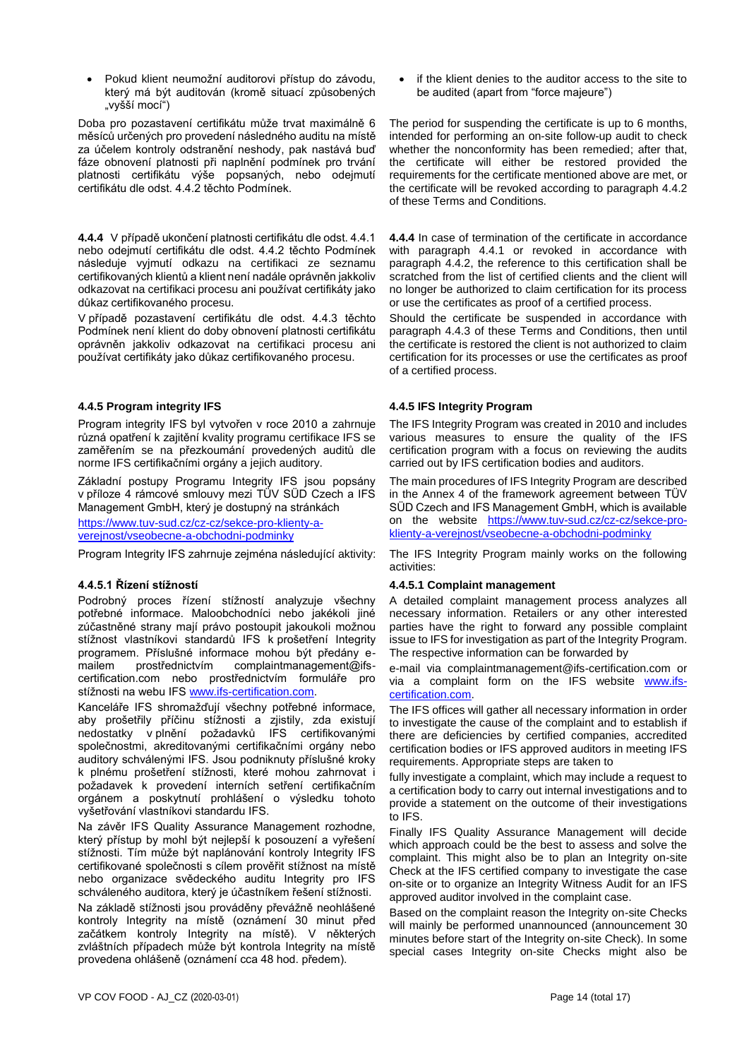• Pokud klient neumožní auditorovi přístup do závodu, který má být auditován (kromě situací způsobených "vyšší mocí")

Doba pro pozastavení certifikátu může trvat maximálně 6 měsíců určených pro provedení následného auditu na místě za účelem kontroly odstranění neshody, pak nastává buď fáze obnovení platnosti při naplnění podmínek pro trvání platnosti certifikátu výše popsaných, nebo odejmutí certifikátu dle odst. 4.4.2 těchto Podmínek.

**4.4.4** V případě ukončení platnosti certifikátu dle odst. 4.4.1 nebo odejmutí certifikátu dle odst. 4.4.2 těchto Podmínek následuje vyjmutí odkazu na certifikaci ze seznamu certifikovaných klientů a klient není nadále oprávněn jakkoliv odkazovat na certifikaci procesu ani používat certifikáty jako důkaz certifikovaného procesu.

V případě pozastavení certifikátu dle odst. 4.4.3 těchto Podmínek není klient do doby obnovení platnosti certifikátu oprávněn jakkoliv odkazovat na certifikaci procesu ani používat certifikáty jako důkaz certifikovaného procesu.

# **4.4.5 Program integrity IFS 4.4.5 IFS Integrity Program**

Program integrity IFS byl vytvořen v roce 2010 a zahrnuje různá opatření k zajitění kvality programu certifikace IFS se zaměřením se na přezkoumání provedených auditů dle norme IFS certifikačními orgány a jejich auditory.

Základní postupy Programu Integrity IFS jsou popsány v příloze 4 rámcové smlouvy mezi TÜV SÜD Czech a IFS Management GmbH, který je dostupný na stránkách

[https://www.tuv-sud.cz/cz-cz/sekce-pro-klienty-a](https://www.tuv-sud.cz/cz-cz/sekce-pro-klienty-a-verejnost/vseobecne-a-obchodni-podminky)[verejnost/vseobecne-a-obchodni-podminky](https://www.tuv-sud.cz/cz-cz/sekce-pro-klienty-a-verejnost/vseobecne-a-obchodni-podminky)

Program Integrity IFS zahrnuje zejména následující aktivity: The IFS Integrity Program mainly works on the following

# **4.4.5.1 Řízení stížností**

Podrobný proces řízení stížností analyzuje všechny potřebné informace. Maloobchodníci nebo jakékoli jiné zúčastněné strany mají právo postoupit jakoukoli možnou stížnost vlastníkovi standardů IFS k prošetření Integrity programem. Příslušné informace mohou být předány e-<br>mailem prostřednictvím complaintmanagement@ifsmailem prostřednictvím complaintmanagement@ifscertification.com nebo prostřednictvím formuláře pro stížnosti na webu IF[S www.ifs-certification.com.](http://www.ifs-certification.com/)

Kanceláře IFS shromažďují všechny potřebné informace, aby prošetřily příčinu stížnosti a zjistily, zda existují nedostatky v plnění požadavků IFS certifikovanými společnostmi, akreditovanými certifikačními orgány nebo auditory schválenými IFS. Jsou podniknuty příslušné kroky k plnému prošetření stížnosti, které mohou zahrnovat i požadavek k provedení interních setření certifikačním orgánem a poskytnutí prohlášení o výsledku tohoto vyšetřování vlastníkovi standardu IFS.

Na závěr IFS Quality Assurance Management rozhodne, který přístup by mohl být nejlepší k posouzení a vyřešení stížnosti. Tím může být naplánování kontroly Integrity IFS certifikované společnosti s cílem prověřit stížnost na místě nebo organizace svědeckého auditu Integrity pro IFS schváleného auditora, který je účastníkem řešení stížnosti. Na základě stížnosti jsou prováděny převážně neohlášené kontroly Integrity na místě (oznámení 30 minut před začátkem kontroly Integrity na místě). V některých zvláštních případech může být kontrola Integrity na místě

provedena ohlášeně (oznámení cca 48 hod. předem).

• if the klient denies to the auditor access to the site to be audited (apart from "force majeure")

The period for suspending the certificate is up to 6 months, intended for performing an on-site follow-up audit to check whether the nonconformity has been remedied; after that, the certificate will either be restored provided the requirements for the certificate mentioned above are met, or the certificate will be revoked according to paragraph 4.4.2 of these Terms and Conditions.

**4.4.4** In case of termination of the certificate in accordance with paragraph 4.4.1 or revoked in accordance with paragraph 4.4.2, the reference to this certification shall be scratched from the list of certified clients and the client will no longer be authorized to claim certification for its process or use the certificates as proof of a certified process.

Should the certificate be suspended in accordance with paragraph 4.4.3 of these Terms and Conditions, then until the certificate is restored the client is not authorized to claim certification for its processes or use the certificates as proof of a certified process.

The IFS Integrity Program was created in 2010 and includes various measures to ensure the quality of the IFS certification program with a focus on reviewing the audits carried out by IFS certification bodies and auditors.

The main procedures of IFS Integrity Program are described in the Annex 4 of the framework agreement between TÜV SÜD Czech and IFS Management GmbH, which is available on the website [https://www.tuv-sud.cz/cz-cz/sekce-pro](https://www.tuv-sud.cz/cz-cz/sekce-pro-klienty-a-verejnost/vseobecne-a-obchodni-podminky)[klienty-a-verejnost/vseobecne-a-obchodni-podminky](https://www.tuv-sud.cz/cz-cz/sekce-pro-klienty-a-verejnost/vseobecne-a-obchodni-podminky)

activities:

# **4.4.5.1 Complaint management**

A detailed complaint management process analyzes all necessary information. Retailers or any other interested parties have the right to forward any possible complaint issue to IFS for investigation as part of the Integrity Program. The respective information can be forwarded by

e-mail via complaintmanagement@ifs-certification.com or via a complaint form on the IFS website [www.ifs](http://www.ifs-certification.com/)[certification.com.](http://www.ifs-certification.com/)

The IFS offices will gather all necessary information in order to investigate the cause of the complaint and to establish if there are deficiencies by certified companies, accredited certification bodies or IFS approved auditors in meeting IFS requirements. Appropriate steps are taken to

fully investigate a complaint, which may include a request to a certification body to carry out internal investigations and to provide a statement on the outcome of their investigations to IFS.

Finally IFS Quality Assurance Management will decide which approach could be the best to assess and solve the complaint. This might also be to plan an Integrity on-site Check at the IFS certified company to investigate the case on-site or to organize an Integrity Witness Audit for an IFS approved auditor involved in the complaint case.

Based on the complaint reason the Integrity on-site Checks will mainly be performed unannounced (announcement 30 minutes before start of the Integrity on-site Check). In some special cases Integrity on-site Checks might also be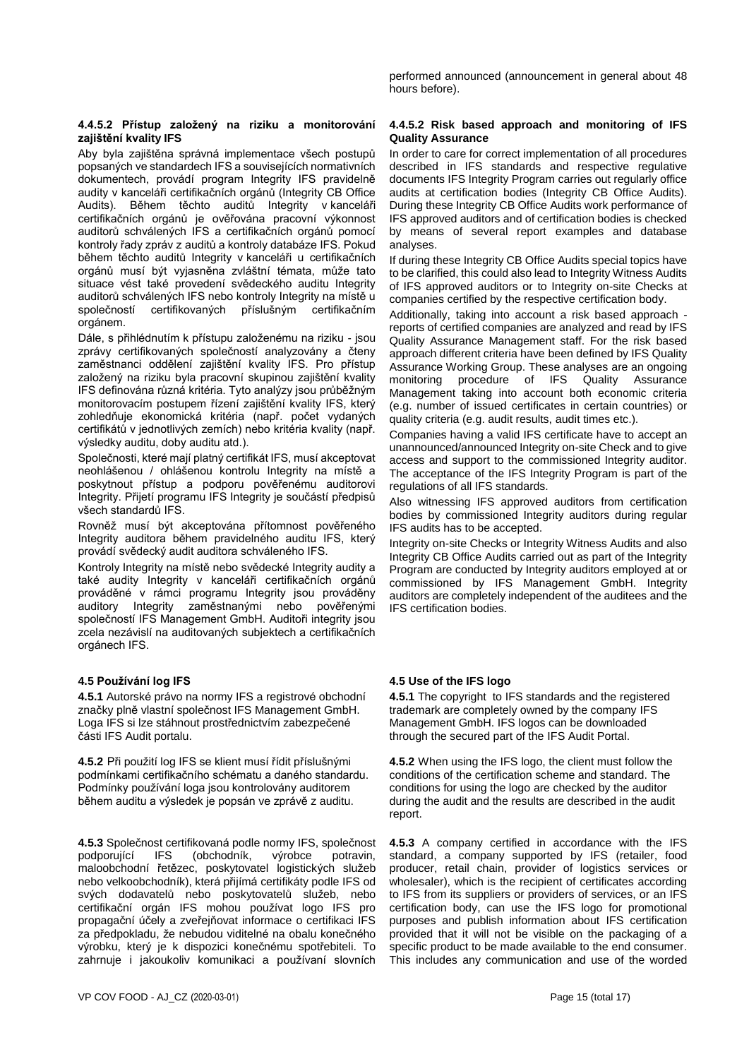performed announced (announcement in general about 48 hours before).

# **4.4.5.2 Přístup založený na riziku a monitorování zajištění kvality IFS**

Aby byla zajištěna správná implementace všech postupů popsaných ve standardech IFS a souvisejících normativních dokumentech, provádí program Integrity IFS pravidelně audity v kanceláři certifikačních orgánů (Integrity CB Office Audits). Během těchto auditů Integrity v kanceláři certifikačních orgánů je ověřována pracovní výkonnost auditorů schválených IFS a certifikačních orgánů pomocí kontroly řady zpráv z auditů a kontroly databáze IFS. Pokud během těchto auditů Integrity v kanceláři u certifikačních orgánů musí být vyjasněna zvláštní témata, může tato situace vést také provedení svědeckého auditu Integrity auditorů schválených IFS nebo kontroly Integrity na místě u společností certifikovaných příslušným certifikačním orgánem.

Dále, s přihlédnutím k přístupu založenému na riziku - jsou zprávy certifikovaných společností analyzovány a čteny zaměstnanci oddělení zajištění kvality IFS. Pro přístup založený na riziku byla pracovní skupinou zajištění kvality IFS definována různá kritéria. Tyto analýzy jsou průběžným monitorovacím postupem řízení zajištění kvality IFS, který zohledňuje ekonomická kritéria (např. počet vydaných certifikátů v jednotlivých zemích) nebo kritéria kvality (např. výsledky auditu, doby auditu atd.).

Společnosti, které mají platný certifikát IFS, musí akceptovat neohlášenou / ohlášenou kontrolu Integrity na místě a poskytnout přístup a podporu pověřenému auditorovi Integrity. Přijetí programu IFS Integrity je součástí předpisů všech standardů IFS.

Rovněž musí být akceptována přítomnost pověřeného Integrity auditora během pravidelného auditu IFS, který provádí svědecký audit auditora schváleného IFS.

Kontroly Integrity na místě nebo svědecké Integrity audity a také audity Integrity v kanceláři certifikačních orgánů prováděné v rámci programu Integrity jsou prováděny auditory Integrity zaměstnanými nebo pověřenými společností IFS Management GmbH. Auditoři integrity jsou zcela nezávislí na auditovaných subjektech a certifikačních orgánech IFS.

**4.5.1** Autorské právo na normy IFS a registrové obchodní značky plně vlastní společnost IFS Management GmbH. Loga IFS si lze stáhnout prostřednictvím zabezpečené části IFS Audit portalu.

**4.5.2** Při použití log IFS se klient musí řídit příslušnými podmínkami certifikačního schématu a daného standardu. Podmínky používání loga jsou kontrolovány auditorem během auditu a výsledek je popsán ve zprávě z auditu.

**4.5.3** Společnost certifikovaná podle normy IFS, společnost podporující IFS (obchodník, výrobce potravin, maloobchodní řetězec, poskytovatel logistických služeb nebo velkoobchodník), která přijímá certifikáty podle IFS od svých dodavatelů nebo poskytovatelů služeb, nebo certifikační orgán IFS mohou používat logo IFS pro propagační účely a zveřejňovat informace o certifikaci IFS za předpokladu, že nebudou viditelné na obalu konečného výrobku, který je k dispozici konečnému spotřebiteli. To zahrnuje i jakoukoliv komunikaci a používaní slovních

### **4.4.5.2 Risk based approach and monitoring of IFS Quality Assurance**

In order to care for correct implementation of all procedures described in IFS standards and respective regulative documents IFS Integrity Program carries out regularly office audits at certification bodies (Integrity CB Office Audits). During these Integrity CB Office Audits work performance of IFS approved auditors and of certification bodies is checked by means of several report examples and database analyses.

If during these Integrity CB Office Audits special topics have to be clarified, this could also lead to Integrity Witness Audits of IFS approved auditors or to Integrity on-site Checks at companies certified by the respective certification body.

Additionally, taking into account a risk based approach reports of certified companies are analyzed and read by IFS Quality Assurance Management staff. For the risk based approach different criteria have been defined by IFS Quality Assurance Working Group. These analyses are an ongoing monitoring procedure of IFS Quality Assurance Management taking into account both economic criteria (e.g. number of issued certificates in certain countries) or quality criteria (e.g. audit results, audit times etc.).

Companies having a valid IFS certificate have to accept an unannounced/announced Integrity on-site Check and to give access and support to the commissioned Integrity auditor. The acceptance of the IFS Integrity Program is part of the regulations of all IFS standards.

Also witnessing IFS approved auditors from certification bodies by commissioned Integrity auditors during regular IFS audits has to be accepted.

Integrity on-site Checks or Integrity Witness Audits and also Integrity CB Office Audits carried out as part of the Integrity Program are conducted by Integrity auditors employed at or commissioned by IFS Management GmbH. Integrity auditors are completely independent of the auditees and the IFS certification bodies.

# **4.5 Používání log IFS 4.5 Use of the IFS logo**

**4.5.1** The copyright to IFS standards and the registered trademark are completely owned by the company IFS Management GmbH. IFS logos can be downloaded through the secured part of the IFS Audit Portal.

**4.5.2** When using the IFS logo, the client must follow the conditions of the certification scheme and standard. The conditions for using the logo are checked by the auditor during the audit and the results are described in the audit report.

**4.5.3** A company certified in accordance with the IFS standard, a company supported by IFS (retailer, food producer, retail chain, provider of logistics services or wholesaler), which is the recipient of certificates according to IFS from its suppliers or providers of services, or an IFS certification body, can use the IFS logo for promotional purposes and publish information about IFS certification provided that it will not be visible on the packaging of a specific product to be made available to the end consumer. This includes any communication and use of the worded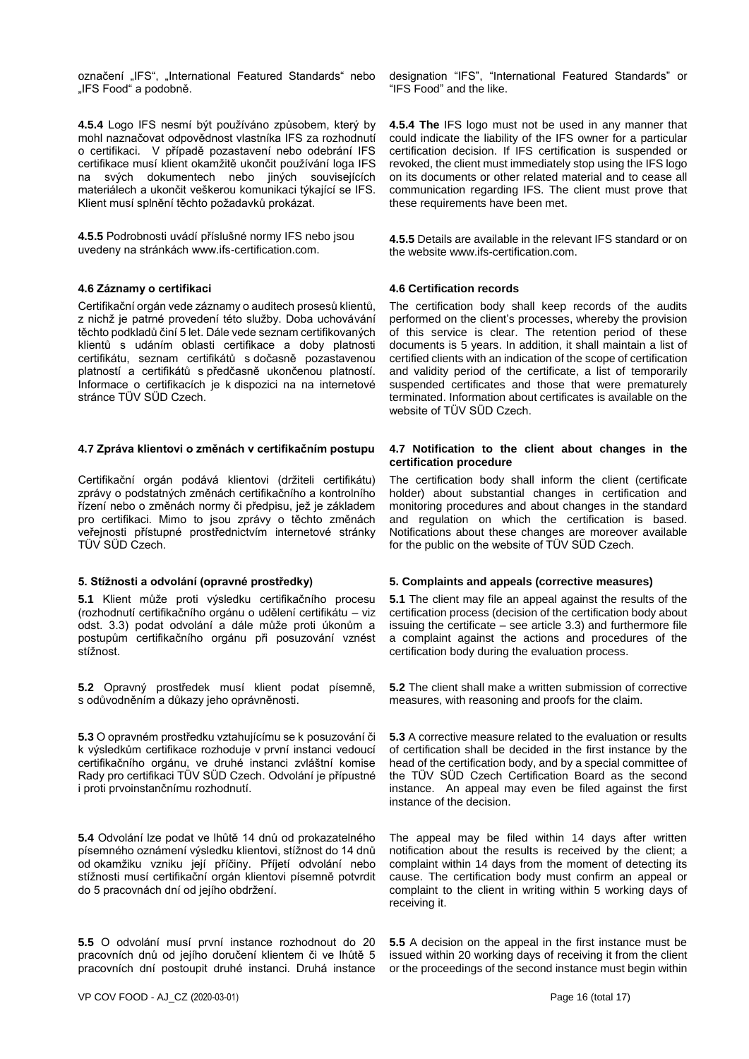označení "IFS", "International Featured Standards" nebo "IFS Food" a podobně.

**4.5.4** Logo IFS nesmí být používáno způsobem, který by mohl naznačovat odpovědnost vlastníka IFS za rozhodnutí o certifikaci. V případě pozastavení nebo odebrání IFS certifikace musí klient okamžitě ukončit používání loga IFS na svých dokumentech nebo jiných souvisejících materiálech a ukončit veškerou komunikaci týkající se IFS. Klient musí splnění těchto požadavků prokázat.

**4.5.5** Podrobnosti uvádí příslušné normy IFS nebo jsou uvedeny na stránkách www.ifs-certification.com.

# **4.6 Záznamy o certifikaci 4.6 Certification records**

Certifikační orgán vede záznamy o auditech prosesů klientů, z nichž je patrné provedení této služby. Doba uchovávání těchto podkladů činí 5 let. Dále vede seznam certifikovaných klientů s udáním oblasti certifikace a doby platnosti certifikátu, seznam certifikátů s dočasně pozastavenou platností a certifikátů s předčasně ukončenou platností. Informace o certifikacích je k dispozici na na internetové stránce TÜV SÜD Czech.

Certifikační orgán podává klientovi (držiteli certifikátu) zprávy o podstatných změnách certifikačního a kontrolního řízení nebo o změnách normy či předpisu, jež je základem pro certifikaci. Mimo to jsou zprávy o těchto změnách veřejnosti přístupné prostřednictvím internetové stránky TÜV SÜD Czech.

**5.1** Klient může proti výsledku certifikačního procesu (rozhodnutí certifikačního orgánu o udělení certifikátu – viz odst. 3.3) podat odvolání a dále může proti úkonům a postupům certifikačního orgánu při posuzování vznést stížnost.

**5.2** Opravný prostředek musí klient podat písemně, s odůvodněním a důkazy jeho oprávněnosti.

**5.3** O opravném prostředku vztahujícímu se k posuzování či k výsledkům certifikace rozhoduje v první instanci vedoucí certifikačního orgánu, ve druhé instanci zvláštní komise Rady pro certifikaci TÜV SÜD Czech. Odvolání je přípustné i proti prvoinstančnímu rozhodnutí.

**5.4** Odvolání lze podat ve lhůtě 14 dnů od prokazatelného písemného oznámení výsledku klientovi, stížnost do 14 dnů od okamžiku vzniku její příčiny. Příjetí odvolání nebo stížnosti musí certifikační orgán klientovi písemně potvrdit do 5 pracovnách dní od jejího obdržení.

**5.5** O odvolání musí první instance rozhodnout do 20 pracovních dnů od jejího doručení klientem či ve lhůtě 5 pracovních dní postoupit druhé instanci. Druhá instance

designation "IFS", "International Featured Standards" or "IFS Food" and the like.

**4.5.4 The** IFS logo must not be used in any manner that could indicate the liability of the IFS owner for a particular certification decision. If IFS certification is suspended or revoked, the client must immediately stop using the IFS logo on its documents or other related material and to cease all communication regarding IFS. The client must prove that these requirements have been met.

**4.5.5** Details are available in the relevant IFS standard or on the website www.ifs-certification.com.

The certification body shall keep records of the audits performed on the client's processes, whereby the provision of this service is clear. The retention period of these documents is 5 years. In addition, it shall maintain a list of certified clients with an indication of the scope of certification and validity period of the certificate, a list of temporarily suspended certificates and those that were prematurely terminated. Information about certificates is available on the website of TÜV SÜD Czech.

# **4.7 Zpráva klientovi o změnách v certifikačním postupu 4.7 Notification to the client about changes in the certification procedure**

The certification body shall inform the client (certificate holder) about substantial changes in certification and monitoring procedures and about changes in the standard and regulation on which the certification is based. Notifications about these changes are moreover available for the public on the website of TÜV SÜD Czech.

# **5. Stížnosti a odvolání (opravné prostředky) 5. Complaints and appeals (corrective measures)**

**5.1** The client may file an appeal against the results of the certification process (decision of the certification body about issuing the certificate – see article 3.3) and furthermore file a complaint against the actions and procedures of the certification body during the evaluation process.

**5.2** The client shall make a written submission of corrective measures, with reasoning and proofs for the claim.

**5.3** A corrective measure related to the evaluation or results of certification shall be decided in the first instance by the head of the certification body, and by a special committee of the TÜV SÜD Czech Certification Board as the second instance. An appeal may even be filed against the first instance of the decision.

The appeal may be filed within 14 days after written notification about the results is received by the client; a complaint within 14 days from the moment of detecting its cause. The certification body must confirm an appeal or complaint to the client in writing within 5 working days of receiving it.

**5.5** A decision on the appeal in the first instance must be issued within 20 working days of receiving it from the client or the proceedings of the second instance must begin within